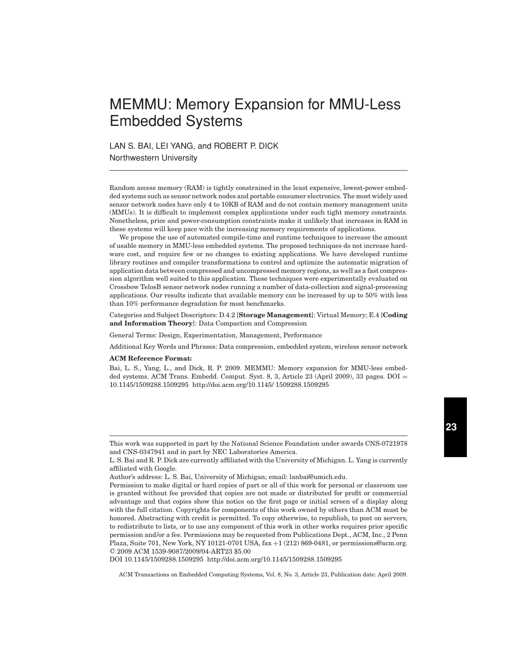# MEMMU: Memory Expansion for MMU-Less Embedded Systems

LAN S. BAI, LEI YANG, and ROBERT P. DICK

Northwestern University

Random access memory (RAM) is tightly constrained in the least expensive, lowest-power embedded systems such as sensor network nodes and portable consumer electronics. The most widely used sensor network nodes have only 4 to 10KB of RAM and do not contain memory management units (MMUs). It is difficult to implement complex applications under such tight memory constraints. Nonetheless, price and power-consumption constraints make it unlikely that increases in RAM in these systems will keep pace with the increasing memory requirements of applications.

We propose the use of automated compile-time and runtime techniques to increase the amount of usable memory in MMU-less embedded systems. The proposed techniques do not increase hardware cost, and require few or no changes to existing applications. We have developed runtime library routines and compiler transformations to control and optimize the automatic migration of application data between compressed and uncompressed memory regions, as well as a fast compression algorithm well suited to this application. These techniques were experimentally evaluated on Crossbow TelosB sensor network nodes running a number of data-collection and signal-processing applications. Our results indicate that available memory can be increased by up to 50% with less than 10% performance degradation for most benchmarks.

Categories and Subject Descriptors: D.4.2 [**Storage Management**]: Virtual Memory; E.4 [**Coding and Information Theory**]: Data Compaction and Compression

General Terms: Design, Experimentation, Management, Performance

Additional Key Words and Phrases: Data compression, embedded system, wireless sensor network

#### **ACM Reference Format:**

Bai, L. S., Yang, L., and Dick, R. P. 2009. MEMMU: Memory expansion for MMU-less embedded systems. ACM Trans. Embedd. Comput. Syst. 8, 3, Article 23 (April 2009), 33 pages. DOI = 10.1145/1509288.1509295 http://doi.acm.org/10.1145/ 1509288.1509295

DOI 10.1145/1509288.1509295 http://doi.acm.org/10.1145/1509288.1509295

This work was supported in part by the National Science Foundation under awards CNS-0721978 and CNS-0347941 and in part by NEC Laboratories America.

L. S. Bai and R. P. Dick are currently affiliated with the University of Michigan. L. Yang is currently affiliated with Google.

Author's address: L. S. Bai, University of Michigan; email: lanbai@umich.edu.

Permission to make digital or hard copies of part or all of this work for personal or classroom use is granted without fee provided that copies are not made or distributed for profit or commercial advantage and that copies show this notice on the first page or initial screen of a display along with the full citation. Copyrights for components of this work owned by others than ACM must be honored. Abstracting with credit is permitted. To copy otherwise, to republish, to post on servers, to redistribute to lists, or to use any component of this work in other works requires prior specific permission and/or a fee. Permissions may be requested from Publications Dept., ACM, Inc., 2 Penn Plaza, Suite 701, New York, NY 10121-0701 USA, fax +1 (212) 869-0481, or permissions@acm.org. -C 2009 ACM 1539-9087/2009/04-ART23 \$5.00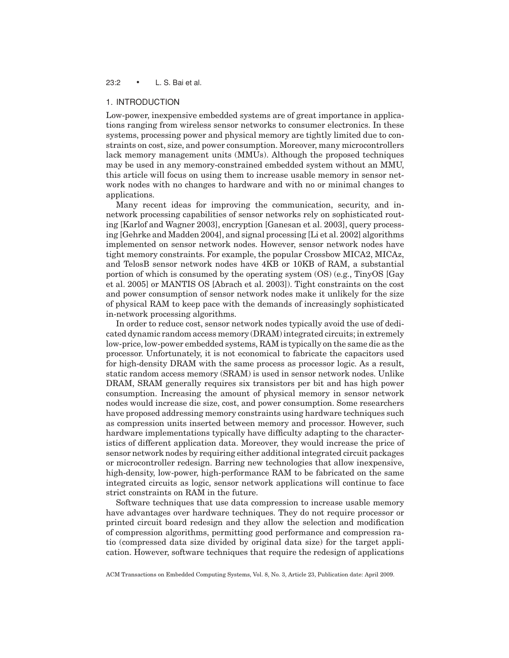# 23:2 • L. S. Bai et al.

# 1. INTRODUCTION

Low-power, inexpensive embedded systems are of great importance in applications ranging from wireless sensor networks to consumer electronics. In these systems, processing power and physical memory are tightly limited due to constraints on cost, size, and power consumption. Moreover, many microcontrollers lack memory management units (MMUs). Although the proposed techniques may be used in any memory-constrained embedded system without an MMU, this article will focus on using them to increase usable memory in sensor network nodes with no changes to hardware and with no or minimal changes to applications.

Many recent ideas for improving the communication, security, and innetwork processing capabilities of sensor networks rely on sophisticated routing [Karlof and Wagner 2003], encryption [Ganesan et al. 2003], query processing [Gehrke and Madden 2004], and signal processing [Li et al. 2002] algorithms implemented on sensor network nodes. However, sensor network nodes have tight memory constraints. For example, the popular Crossbow MICA2, MICAz, and TelosB sensor network nodes have 4KB or 10KB of RAM, a substantial portion of which is consumed by the operating system (OS) (e.g., TinyOS [Gay et al. 2005] or MANTIS OS [Abrach et al. 2003]). Tight constraints on the cost and power consumption of sensor network nodes make it unlikely for the size of physical RAM to keep pace with the demands of increasingly sophisticated in-network processing algorithms.

In order to reduce cost, sensor network nodes typically avoid the use of dedicated dynamic random access memory (DRAM) integrated circuits; in extremely low-price, low-power embedded systems, RAM is typically on the same die as the processor. Unfortunately, it is not economical to fabricate the capacitors used for high-density DRAM with the same process as processor logic. As a result, static random access memory (SRAM) is used in sensor network nodes. Unlike DRAM, SRAM generally requires six transistors per bit and has high power consumption. Increasing the amount of physical memory in sensor network nodes would increase die size, cost, and power consumption. Some researchers have proposed addressing memory constraints using hardware techniques such as compression units inserted between memory and processor. However, such hardware implementations typically have difficulty adapting to the characteristics of different application data. Moreover, they would increase the price of sensor network nodes by requiring either additional integrated circuit packages or microcontroller redesign. Barring new technologies that allow inexpensive, high-density, low-power, high-performance RAM to be fabricated on the same integrated circuits as logic, sensor network applications will continue to face strict constraints on RAM in the future.

Software techniques that use data compression to increase usable memory have advantages over hardware techniques. They do not require processor or printed circuit board redesign and they allow the selection and modification of compression algorithms, permitting good performance and compression ratio (compressed data size divided by original data size) for the target application. However, software techniques that require the redesign of applications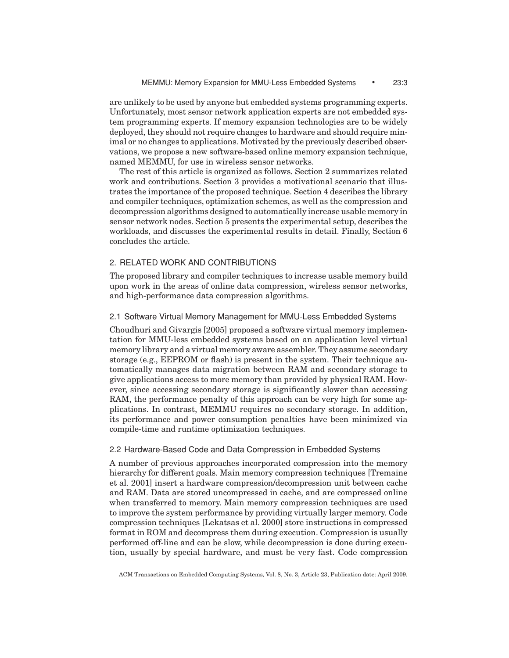are unlikely to be used by anyone but embedded systems programming experts. Unfortunately, most sensor network application experts are not embedded system programming experts. If memory expansion technologies are to be widely deployed, they should not require changes to hardware and should require minimal or no changes to applications. Motivated by the previously described observations, we propose a new software-based online memory expansion technique, named MEMMU, for use in wireless sensor networks.

The rest of this article is organized as follows. Section 2 summarizes related work and contributions. Section 3 provides a motivational scenario that illustrates the importance of the proposed technique. Section 4 describes the library and compiler techniques, optimization schemes, as well as the compression and decompression algorithms designed to automatically increase usable memory in sensor network nodes. Section 5 presents the experimental setup, describes the workloads, and discusses the experimental results in detail. Finally, Section 6 concludes the article.

# 2. RELATED WORK AND CONTRIBUTIONS

The proposed library and compiler techniques to increase usable memory build upon work in the areas of online data compression, wireless sensor networks, and high-performance data compression algorithms.

# 2.1 Software Virtual Memory Management for MMU-Less Embedded Systems

Choudhuri and Givargis [2005] proposed a software virtual memory implementation for MMU-less embedded systems based on an application level virtual memory library and a virtual memory aware assembler. They assume secondary storage (e.g., EEPROM or flash) is present in the system. Their technique automatically manages data migration between RAM and secondary storage to give applications access to more memory than provided by physical RAM. However, since accessing secondary storage is significantly slower than accessing RAM, the performance penalty of this approach can be very high for some applications. In contrast, MEMMU requires no secondary storage. In addition, its performance and power consumption penalties have been minimized via compile-time and runtime optimization techniques.

#### 2.2 Hardware-Based Code and Data Compression in Embedded Systems

A number of previous approaches incorporated compression into the memory hierarchy for different goals. Main memory compression techniques [Tremaine et al. 2001] insert a hardware compression/decompression unit between cache and RAM. Data are stored uncompressed in cache, and are compressed online when transferred to memory. Main memory compression techniques are used to improve the system performance by providing virtually larger memory. Code compression techniques [Lekatsas et al. 2000] store instructions in compressed format in ROM and decompress them during execution. Compression is usually performed off-line and can be slow, while decompression is done during execution, usually by special hardware, and must be very fast. Code compression

ACM Transactions on Embedded Computing Systems, Vol. 8, No. 3, Article 23, Publication date: April 2009.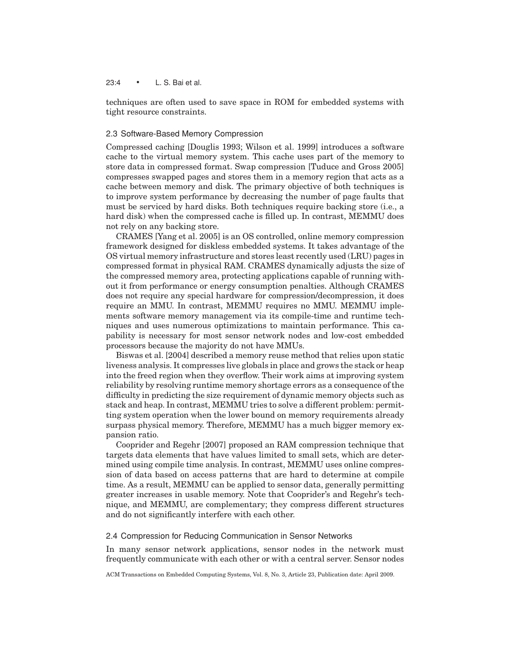# 23:4 • L. S. Bai et al.

techniques are often used to save space in ROM for embedded systems with tight resource constraints.

### 2.3 Software-Based Memory Compression

Compressed caching [Douglis 1993; Wilson et al. 1999] introduces a software cache to the virtual memory system. This cache uses part of the memory to store data in compressed format. Swap compression [Tuduce and Gross 2005] compresses swapped pages and stores them in a memory region that acts as a cache between memory and disk. The primary objective of both techniques is to improve system performance by decreasing the number of page faults that must be serviced by hard disks. Both techniques require backing store (i.e., a hard disk) when the compressed cache is filled up. In contrast, MEMMU does not rely on any backing store.

CRAMES [Yang et al. 2005] is an OS controlled, online memory compression framework designed for diskless embedded systems. It takes advantage of the OS virtual memory infrastructure and stores least recently used (LRU) pages in compressed format in physical RAM. CRAMES dynamically adjusts the size of the compressed memory area, protecting applications capable of running without it from performance or energy consumption penalties. Although CRAMES does not require any special hardware for compression/decompression, it does require an MMU. In contrast, MEMMU requires no MMU. MEMMU implements software memory management via its compile-time and runtime techniques and uses numerous optimizations to maintain performance. This capability is necessary for most sensor network nodes and low-cost embedded processors because the majority do not have MMUs.

Biswas et al. [2004] described a memory reuse method that relies upon static liveness analysis. It compresses live globals in place and grows the stack or heap into the freed region when they overflow. Their work aims at improving system reliability by resolving runtime memory shortage errors as a consequence of the difficulty in predicting the size requirement of dynamic memory objects such as stack and heap. In contrast, MEMMU tries to solve a different problem: permitting system operation when the lower bound on memory requirements already surpass physical memory. Therefore, MEMMU has a much bigger memory expansion ratio.

Cooprider and Regehr [2007] proposed an RAM compression technique that targets data elements that have values limited to small sets, which are determined using compile time analysis. In contrast, MEMMU uses online compression of data based on access patterns that are hard to determine at compile time. As a result, MEMMU can be applied to sensor data, generally permitting greater increases in usable memory. Note that Cooprider's and Regehr's technique, and MEMMU, are complementary; they compress different structures and do not significantly interfere with each other.

#### 2.4 Compression for Reducing Communication in Sensor Networks

In many sensor network applications, sensor nodes in the network must frequently communicate with each other or with a central server. Sensor nodes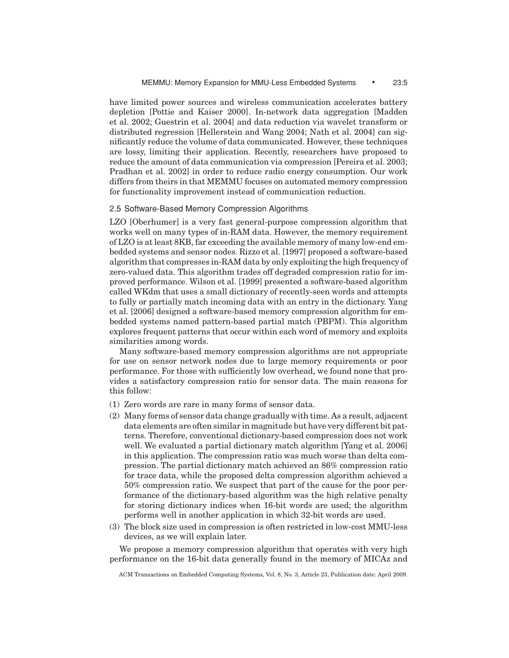have limited power sources and wireless communication accelerates battery depletion [Pottie and Kaiser 2000]. In-network data aggregation [Madden et al. 2002; Guestrin et al. 2004] and data reduction via wavelet transform or distributed regression [Hellerstein and Wang 2004; Nath et al. 2004] can significantly reduce the volume of data communicated. However, these techniques are lossy, limiting their application. Recently, researchers have proposed to reduce the amount of data communication via compression [Pereira et al. 2003; Pradhan et al. 2002] in order to reduce radio energy consumption. Our work differs from theirs in that MEMMU focuses on automated memory compression for functionality improvement instead of communication reduction.

#### 2.5 Software-Based Memory Compression Algorithms

LZO [Oberhumer] is a very fast general-purpose compression algorithm that works well on many types of in-RAM data. However, the memory requirement of LZO is at least 8KB, far exceeding the available memory of many low-end embedded systems and sensor nodes. Rizzo et al. [1997] proposed a software-based algorithm that compresses in-RAM data by only exploiting the high frequency of zero-valued data. This algorithm trades off degraded compression ratio for improved performance. Wilson et al. [1999] presented a software-based algorithm called WKdm that uses a small dictionary of recently-seen words and attempts to fully or partially match incoming data with an entry in the dictionary. Yang et al. [2006] designed a software-based memory compression algorithm for embedded systems named pattern-based partial match (PBPM). This algorithm explores frequent patterns that occur within each word of memory and exploits similarities among words.

Many software-based memory compression algorithms are not appropriate for use on sensor network nodes due to large memory requirements or poor performance. For those with sufficiently low overhead, we found none that provides a satisfactory compression ratio for sensor data. The main reasons for this follow:

- (1) Zero words are rare in many forms of sensor data.
- (2) Many forms of sensor data change gradually with time. As a result, adjacent data elements are often similar in magnitude but have very different bit patterns. Therefore, conventional dictionary-based compression does not work well. We evaluated a partial dictionary match algorithm [Yang et al. 2006] in this application. The compression ratio was much worse than delta compression. The partial dictionary match achieved an 86% compression ratio for trace data, while the proposed delta compression algorithm achieved a 50% compression ratio. We suspect that part of the cause for the poor performance of the dictionary-based algorithm was the high relative penalty for storing dictionary indices when 16-bit words are used; the algorithm performs well in another application in which 32-bit words are used.
- (3) The block size used in compression is often restricted in low-cost MMU-less devices, as we will explain later.

We propose a memory compression algorithm that operates with very high performance on the 16-bit data generally found in the memory of MICAz and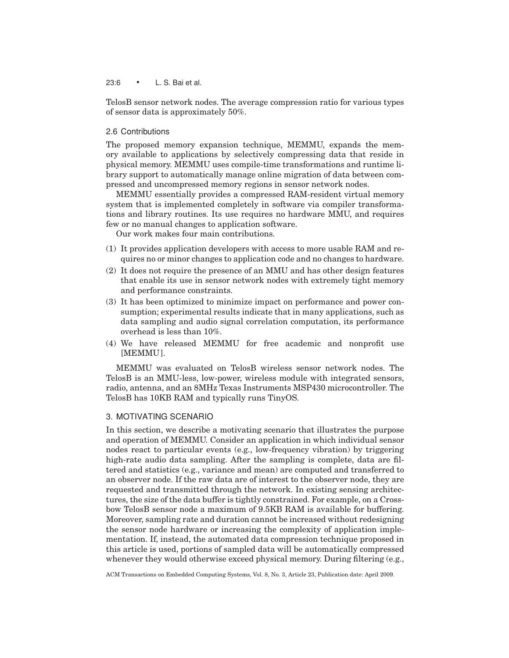23:6 • L. S. Bai et al.

TelosB sensor network nodes. The average compression ratio for various types of sensor data is approximately 50%.

### 2.6 Contributions

The proposed memory expansion technique, MEMMU, expands the memory available to applications by selectively compressing data that reside in physical memory. MEMMU uses compile-time transformations and runtime library support to automatically manage online migration of data between compressed and uncompressed memory regions in sensor network nodes.

MEMMU essentially provides a compressed RAM-resident virtual memory system that is implemented completely in software via compiler transformations and library routines. Its use requires no hardware MMU, and requires few or no manual changes to application software.

Our work makes four main contributions.

- (1) It provides application developers with access to more usable RAM and requires no or minor changes to application code and no changes to hardware.
- (2) It does not require the presence of an MMU and has other design features that enable its use in sensor network nodes with extremely tight memory and performance constraints.
- (3) It has been optimized to minimize impact on performance and power consumption; experimental results indicate that in many applications, such as data sampling and audio signal correlation computation, its performance overhead is less than 10%.
- (4) We have released MEMMU for free academic and nonprofit use [MEMMU].

MEMMU was evaluated on TelosB wireless sensor network nodes. The TelosB is an MMU-less, low-power, wireless module with integrated sensors, radio, antenna, and an 8MHz Texas Instruments MSP430 microcontroller. The TelosB has 10KB RAM and typically runs TinyOS.

# 3. MOTIVATING SCENARIO

In this section, we describe a motivating scenario that illustrates the purpose and operation of MEMMU. Consider an application in which individual sensor nodes react to particular events (e.g., low-frequency vibration) by triggering high-rate audio data sampling. After the sampling is complete, data are filtered and statistics (e.g., variance and mean) are computed and transferred to an observer node. If the raw data are of interest to the observer node, they are requested and transmitted through the network. In existing sensing architectures, the size of the data buffer is tightly constrained. For example, on a Crossbow TelosB sensor node a maximum of 9.5KB RAM is available for buffering. Moreover, sampling rate and duration cannot be increased without redesigning the sensor node hardware or increasing the complexity of application implementation. If, instead, the automated data compression technique proposed in this article is used, portions of sampled data will be automatically compressed whenever they would otherwise exceed physical memory. During filtering (e.g.,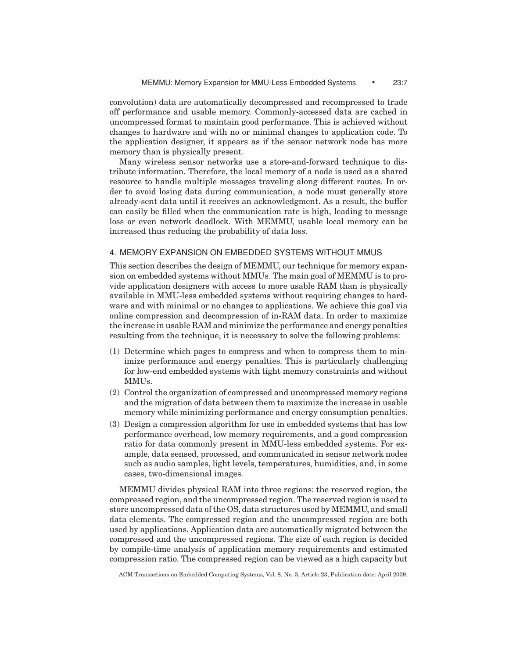convolution) data are automatically decompressed and recompressed to trade off performance and usable memory. Commonly-accessed data are cached in uncompressed format to maintain good performance. This is achieved without changes to hardware and with no or minimal changes to application code. To the application designer, it appears as if the sensor network node has more memory than is physically present.

Many wireless sensor networks use a store-and-forward technique to distribute information. Therefore, the local memory of a node is used as a shared resource to handle multiple messages traveling along different routes. In order to avoid losing data during communication, a node must generally store already-sent data until it receives an acknowledgment. As a result, the buffer can easily be filled when the communication rate is high, leading to message loss or even network deadlock. With MEMMU, usable local memory can be increased thus reducing the probability of data loss.

# 4. MEMORY EXPANSION ON EMBEDDED SYSTEMS WITHOUT MMUS

This section describes the design of MEMMU, our technique for memory expansion on embedded systems without MMUs. The main goal of MEMMU is to provide application designers with access to more usable RAM than is physically available in MMU-less embedded systems without requiring changes to hardware and with minimal or no changes to applications. We achieve this goal via online compression and decompression of in-RAM data. In order to maximize the increase in usable RAM and minimize the performance and energy penalties resulting from the technique, it is necessary to solve the following problems:

- (1) Determine which pages to compress and when to compress them to minimize performance and energy penalties. This is particularly challenging for low-end embedded systems with tight memory constraints and without MMUs.
- (2) Control the organization of compressed and uncompressed memory regions and the migration of data between them to maximize the increase in usable memory while minimizing performance and energy consumption penalties.
- (3) Design a compression algorithm for use in embedded systems that has low performance overhead, low memory requirements, and a good compression ratio for data commonly present in MMU-less embedded systems. For example, data sensed, processed, and communicated in sensor network nodes such as audio samples, light levels, temperatures, humidities, and, in some cases, two-dimensional images.

MEMMU divides physical RAM into three regions: the reserved region, the compressed region, and the uncompressed region. The reserved region is used to store uncompressed data of the OS, data structures used by MEMMU, and small data elements. The compressed region and the uncompressed region are both used by applications. Application data are automatically migrated between the compressed and the uncompressed regions. The size of each region is decided by compile-time analysis of application memory requirements and estimated compression ratio. The compressed region can be viewed as a high capacity but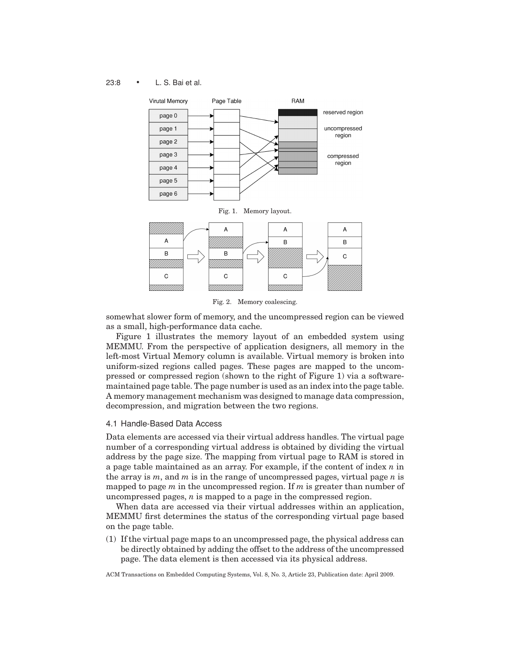# 23:8 • L. S. Bai et al.



Fig. 2. Memory coalescing.

somewhat slower form of memory, and the uncompressed region can be viewed as a small, high-performance data cache.

Figure 1 illustrates the memory layout of an embedded system using MEMMU. From the perspective of application designers, all memory in the left-most Virtual Memory column is available. Virtual memory is broken into uniform-sized regions called pages. These pages are mapped to the uncompressed or compressed region (shown to the right of Figure 1) via a softwaremaintained page table. The page number is used as an index into the page table. A memory management mechanism was designed to manage data compression, decompression, and migration between the two regions.

# 4.1 Handle-Based Data Access

Data elements are accessed via their virtual address handles. The virtual page number of a corresponding virtual address is obtained by dividing the virtual address by the page size. The mapping from virtual page to RAM is stored in a page table maintained as an array. For example, if the content of index *n* in the array is *m*, and *m* is in the range of uncompressed pages, virtual page *n* is mapped to page *m* in the uncompressed region. If *m* is greater than number of uncompressed pages, *n* is mapped to a page in the compressed region.

When data are accessed via their virtual addresses within an application, MEMMU first determines the status of the corresponding virtual page based on the page table.

(1) If the virtual page maps to an uncompressed page, the physical address can be directly obtained by adding the offset to the address of the uncompressed page. The data element is then accessed via its physical address.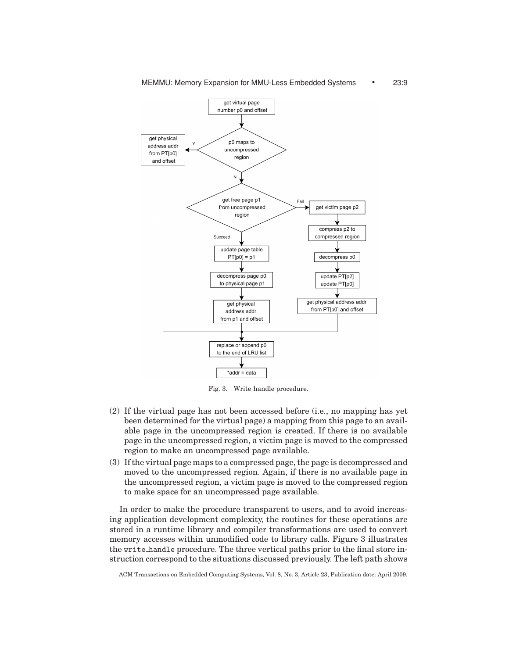

Fig. 3. Write handle procedure.

- (2) If the virtual page has not been accessed before (i.e., no mapping has yet been determined for the virtual page) a mapping from this page to an available page in the uncompressed region is created. If there is no available page in the uncompressed region, a victim page is moved to the compressed region to make an uncompressed page available.
- (3) If the virtual page maps to a compressed page, the page is decompressed and moved to the uncompressed region. Again, if there is no available page in the uncompressed region, a victim page is moved to the compressed region to make space for an uncompressed page available.

In order to make the procedure transparent to users, and to avoid increasing application development complexity, the routines for these operations are stored in a runtime library and compiler transformations are used to convert memory accesses within unmodified code to library calls. Figure 3 illustrates the write handle procedure. The three vertical paths prior to the final store instruction correspond to the situations discussed previously. The left path shows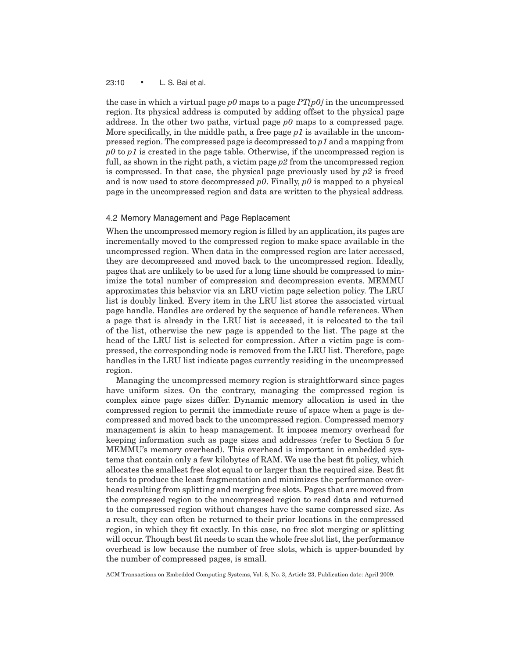#### 23:10 • L. S. Bai et al.

the case in which a virtual page *p0* maps to a page *PT[p0]* in the uncompressed region. Its physical address is computed by adding offset to the physical page address. In the other two paths, virtual page *p0* maps to a compressed page. More specifically, in the middle path, a free page *p1* is available in the uncompressed region. The compressed page is decompressed to *p1* and a mapping from *p0* to *p1* is created in the page table. Otherwise, if the uncompressed region is full, as shown in the right path, a victim page *p2* from the uncompressed region is compressed. In that case, the physical page previously used by *p2* is freed and is now used to store decompressed *p0*. Finally, *p0* is mapped to a physical page in the uncompressed region and data are written to the physical address.

#### 4.2 Memory Management and Page Replacement

When the uncompressed memory region is filled by an application, its pages are incrementally moved to the compressed region to make space available in the uncompressed region. When data in the compressed region are later accessed, they are decompressed and moved back to the uncompressed region. Ideally, pages that are unlikely to be used for a long time should be compressed to minimize the total number of compression and decompression events. MEMMU approximates this behavior via an LRU victim page selection policy. The LRU list is doubly linked. Every item in the LRU list stores the associated virtual page handle. Handles are ordered by the sequence of handle references. When a page that is already in the LRU list is accessed, it is relocated to the tail of the list, otherwise the new page is appended to the list. The page at the head of the LRU list is selected for compression. After a victim page is compressed, the corresponding node is removed from the LRU list. Therefore, page handles in the LRU list indicate pages currently residing in the uncompressed region.

Managing the uncompressed memory region is straightforward since pages have uniform sizes. On the contrary, managing the compressed region is complex since page sizes differ. Dynamic memory allocation is used in the compressed region to permit the immediate reuse of space when a page is decompressed and moved back to the uncompressed region. Compressed memory management is akin to heap management. It imposes memory overhead for keeping information such as page sizes and addresses (refer to Section 5 for MEMMU's memory overhead). This overhead is important in embedded systems that contain only a few kilobytes of RAM. We use the best fit policy, which allocates the smallest free slot equal to or larger than the required size. Best fit tends to produce the least fragmentation and minimizes the performance overhead resulting from splitting and merging free slots. Pages that are moved from the compressed region to the uncompressed region to read data and returned to the compressed region without changes have the same compressed size. As a result, they can often be returned to their prior locations in the compressed region, in which they fit exactly. In this case, no free slot merging or splitting will occur. Though best fit needs to scan the whole free slot list, the performance overhead is low because the number of free slots, which is upper-bounded by the number of compressed pages, is small.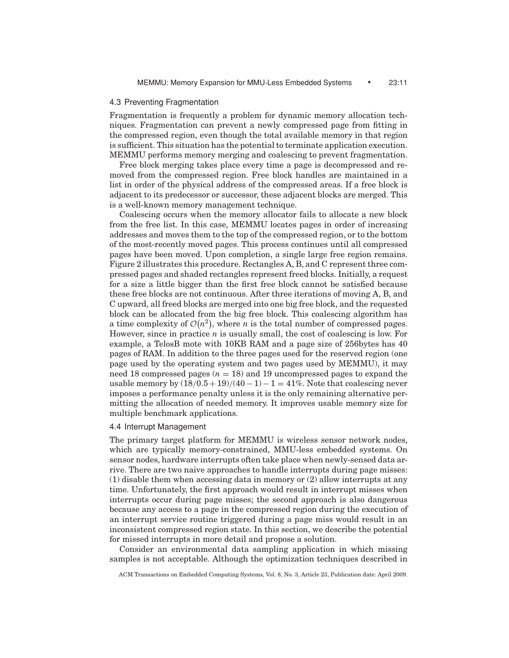# 4.3 Preventing Fragmentation

Fragmentation is frequently a problem for dynamic memory allocation techniques. Fragmentation can prevent a newly compressed page from fitting in the compressed region, even though the total available memory in that region is sufficient. This situation has the potential to terminate application execution. MEMMU performs memory merging and coalescing to prevent fragmentation.

Free block merging takes place every time a page is decompressed and removed from the compressed region. Free block handles are maintained in a list in order of the physical address of the compressed areas. If a free block is adjacent to its predecessor or successor, these adjacent blocks are merged. This is a well-known memory management technique.

Coalescing occurs when the memory allocator fails to allocate a new block from the free list. In this case, MEMMU locates pages in order of increasing addresses and moves them to the top of the compressed region, or to the bottom of the most-recently moved pages. This process continues until all compressed pages have been moved. Upon completion, a single large free region remains. Figure 2 illustrates this procedure. Rectangles A, B, and C represent three compressed pages and shaded rectangles represent freed blocks. Initially, a request for a size a little bigger than the first free block cannot be satisfied because these free blocks are not continuous. After three iterations of moving A, B, and C upward, all freed blocks are merged into one big free block, and the requested block can be allocated from the big free block. This coalescing algorithm has a time complexity of  $\mathcal{O}(n^2)$ , where *n* is the total number of compressed pages. However, since in practice *n* is usually small, the cost of coalescing is low. For example, a TelosB mote with 10KB RAM and a page size of 256bytes has 40 pages of RAM. In addition to the three pages used for the reserved region (one page used by the operating system and two pages used by MEMMU), it may need 18 compressed pages  $(n = 18)$  and 19 uncompressed pages to expand the usable memory by  $\frac{(18/0.5 + 19)}{(40 - 1)} - 1 = 41\%$ . Note that coalescing never imposes a performance penalty unless it is the only remaining alternative permitting the allocation of needed memory. It improves usable memory size for multiple benchmark applications.

# 4.4 Interrupt Management

The primary target platform for MEMMU is wireless sensor network nodes, which are typically memory-constrained, MMU-less embedded systems. On sensor nodes, hardware interrupts often take place when newly-sensed data arrive. There are two naive approaches to handle interrupts during page misses: (1) disable them when accessing data in memory or (2) allow interrupts at any time. Unfortunately, the first approach would result in interrupt misses when interrupts occur during page misses; the second approach is also dangerous because any access to a page in the compressed region during the execution of an interrupt service routine triggered during a page miss would result in an inconsistent compressed region state. In this section, we describe the potential for missed interrupts in more detail and propose a solution.

Consider an environmental data sampling application in which missing samples is not acceptable. Although the optimization techniques described in

ACM Transactions on Embedded Computing Systems, Vol. 8, No. 3, Article 23, Publication date: April 2009.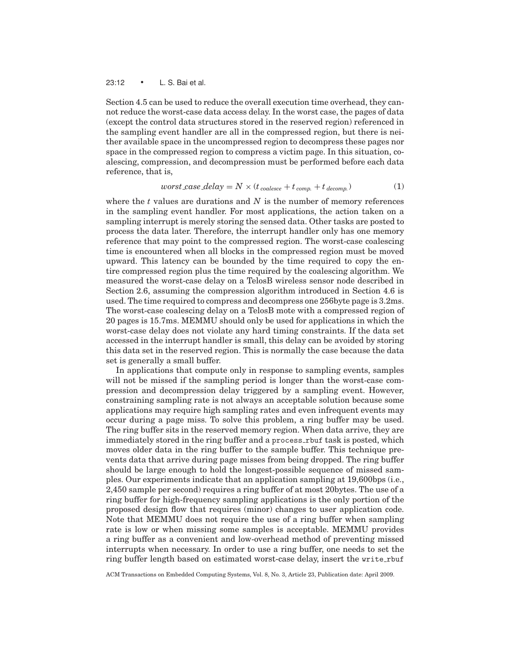# 23:12 • L. S. Bai et al.

Section 4.5 can be used to reduce the overall execution time overhead, they cannot reduce the worst-case data access delay. In the worst case, the pages of data (except the control data structures stored in the reserved region) referenced in the sampling event handler are all in the compressed region, but there is neither available space in the uncompressed region to decompress these pages nor space in the compressed region to compress a victim page. In this situation, coalescing, compression, and decompression must be performed before each data reference, that is,

$$
worst\_case\_delay = N \times (t_{coalesce} + t_{comp.} + t_{decomp.})
$$
\n(1)

where the *t* values are durations and *N* is the number of memory references in the sampling event handler. For most applications, the action taken on a sampling interrupt is merely storing the sensed data. Other tasks are posted to process the data later. Therefore, the interrupt handler only has one memory reference that may point to the compressed region. The worst-case coalescing time is encountered when all blocks in the compressed region must be moved upward. This latency can be bounded by the time required to copy the entire compressed region plus the time required by the coalescing algorithm. We measured the worst-case delay on a TelosB wireless sensor node described in Section 2.6, assuming the compression algorithm introduced in Section 4.6 is used. The time required to compress and decompress one 256byte page is 3.2ms. The worst-case coalescing delay on a TelosB mote with a compressed region of 20 pages is 15.7ms. MEMMU should only be used for applications in which the worst-case delay does not violate any hard timing constraints. If the data set accessed in the interrupt handler is small, this delay can be avoided by storing this data set in the reserved region. This is normally the case because the data set is generally a small buffer.

In applications that compute only in response to sampling events, samples will not be missed if the sampling period is longer than the worst-case compression and decompression delay triggered by a sampling event. However, constraining sampling rate is not always an acceptable solution because some applications may require high sampling rates and even infrequent events may occur during a page miss. To solve this problem, a ring buffer may be used. The ring buffer sits in the reserved memory region. When data arrive, they are immediately stored in the ring buffer and a process\_rbuf task is posted, which moves older data in the ring buffer to the sample buffer. This technique prevents data that arrive during page misses from being dropped. The ring buffer should be large enough to hold the longest-possible sequence of missed samples. Our experiments indicate that an application sampling at 19,600bps (i.e., 2,450 sample per second) requires a ring buffer of at most 20bytes. The use of a ring buffer for high-frequency sampling applications is the only portion of the proposed design flow that requires (minor) changes to user application code. Note that MEMMU does not require the use of a ring buffer when sampling rate is low or when missing some samples is acceptable. MEMMU provides a ring buffer as a convenient and low-overhead method of preventing missed interrupts when necessary. In order to use a ring buffer, one needs to set the ring buffer length based on estimated worst-case delay, insert the write rbuf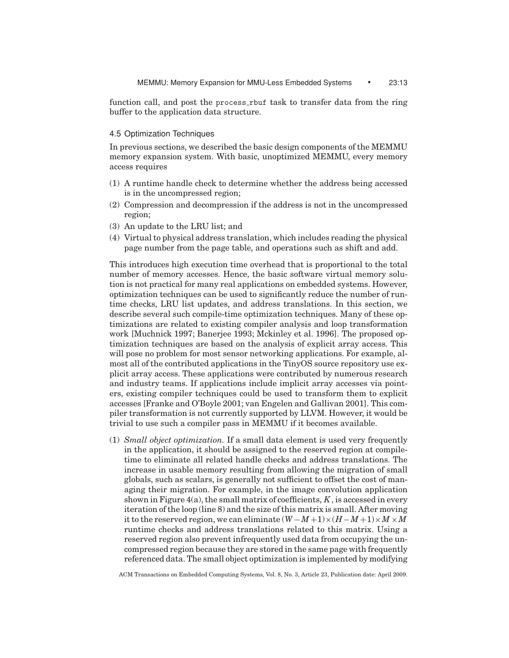function call, and post the process rbuf task to transfer data from the ring buffer to the application data structure.

### 4.5 Optimization Techniques

In previous sections, we described the basic design components of the MEMMU memory expansion system. With basic, unoptimized MEMMU, every memory access requires

- (1) A runtime handle check to determine whether the address being accessed is in the uncompressed region;
- (2) Compression and decompression if the address is not in the uncompressed region;
- (3) An update to the LRU list; and
- (4) Virtual to physical address translation, which includes reading the physical page number from the page table, and operations such as shift and add.

This introduces high execution time overhead that is proportional to the total number of memory accesses. Hence, the basic software virtual memory solution is not practical for many real applications on embedded systems. However, optimization techniques can be used to significantly reduce the number of runtime checks, LRU list updates, and address translations. In this section, we describe several such compile-time optimization techniques. Many of these optimizations are related to existing compiler analysis and loop transformation work [Muchnick 1997; Banerjee 1993; Mckinley et al. 1996]. The proposed optimization techniques are based on the analysis of explicit array access. This will pose no problem for most sensor networking applications. For example, almost all of the contributed applications in the TinyOS source repository use explicit array access. These applications were contributed by numerous research and industry teams. If applications include implicit array accesses via pointers, existing compiler techniques could be used to transform them to explicit accesses [Franke and O'Boyle 2001; van Engelen and Gallivan 2001]. This compiler transformation is not currently supported by LLVM. However, it would be trivial to use such a compiler pass in MEMMU if it becomes available.

(1) *Small object optimization.* If a small data element is used very frequently in the application, it should be assigned to the reserved region at compiletime to eliminate all related handle checks and address translations. The increase in usable memory resulting from allowing the migration of small globals, such as scalars, is generally not sufficient to offset the cost of managing their migration. For example, in the image convolution application shown in Figure 4(a), the small matrix of coefficients, *K* , is accessed in every iteration of the loop (line 8) and the size of this matrix is small. After moving it to the reserved region, we can eliminate  $(W - M + 1) \times (H - M + 1) \times M \times M$ runtime checks and address translations related to this matrix. Using a reserved region also prevent infrequently used data from occupying the uncompressed region because they are stored in the same page with frequently referenced data. The small object optimization is implemented by modifying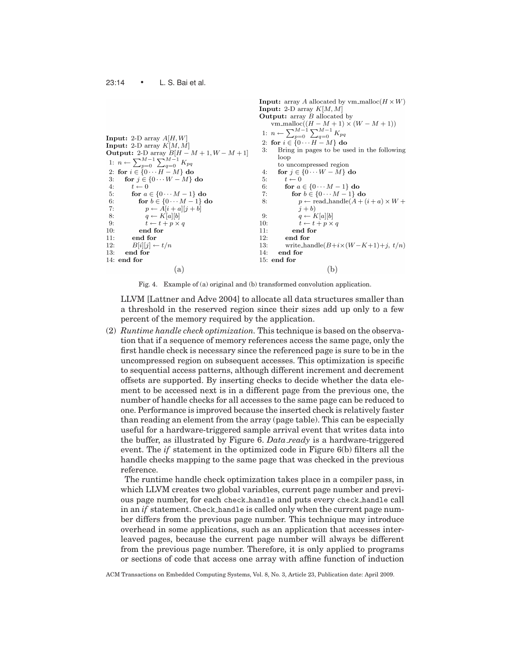**Input:** array A allocated by vm\_malloc( $H \times W$ ) **Input:** 2-D array  $K[M, M]$ **Output:** array  $\overline{B}$  allocated by Unit, and *D* anotated by<br>
vm\_malloc( $(H - M + 1) \times (W - M + 1)$ )<br>
1:  $n \leftarrow \sum_{p=0}^{M-1} \sum_{q=0}^{M-1} K_{pq}$ <br>
2: for  $i \in \{0 \cdots H - M\}$  do **Input:** 2-D array  $A[H, W]$ **Input:** 2-D array  $K[M, M]$ Bring in pages to be used in the following  $3:$ **Output:** 2-D array  $B[H-M+1,W-M+1]$ 1:  $n \leftarrow \sum_{p=0}^{M-1} \sum_{q=0}^{M-1} K_{pq}$ <br>2: for  $i \in \{0 \cdots H - M\}$  do  $loop$ to uncompressed region for  $j \in \{0 \cdots W - M\}$  do  $\mathbf{A}$ for  $j \in \{0 \cdots W - M\}$  do  $t \leftarrow 0$  $3:$  $5:$  $4:$  $t \leftarrow 0$ 6: for  $a \in \{0 \cdots M - 1\}$  do for  $a \in \{0 \cdots M - 1\}$  do for  $b \in \{0 \cdots M-1\}$  do  $7:$  $5:$ for  $b \in \{0 \cdots M-1\}$  do 6: 8:  $p \leftarrow \text{read\_handle}(A + (i + a) \times W +$  $p \leftarrow A[i+a][j+b]$  $j+b$  $7:$ 9:  $q \leftarrow K[a][b]$  $q \leftarrow K[a][b]$  $8:$  $\tilde{t} \leftarrow t + p \times q$  $9<sub>1</sub>$  $t \leftarrow t + p \times q$  $10:$ end for end for  $10:$  $11:$ end for  $12:$ end for  $11:$  $12:$  $B[i][j] \leftarrow t/n$  $13:$ write\_handle $(B+i\times(W-K+1)+j, t/n)$ 13: end for  $14:$ end for  $14<sub>1</sub>$  end for 15: end for  $(a)$  $(b)$ 

Fig. 4. Example of (a) original and (b) transformed convolution application.

LLVM [Lattner and Adve 2004] to allocate all data structures smaller than a threshold in the reserved region since their sizes add up only to a few percent of the memory required by the application.

(2) *Runtime handle check optimization.* This technique is based on the observation that if a sequence of memory references access the same page, only the first handle check is necessary since the referenced page is sure to be in the uncompressed region on subsequent accesses. This optimization is specific to sequential access patterns, although different increment and decrement offsets are supported. By inserting checks to decide whether the data element to be accessed next is in a different page from the previous one, the number of handle checks for all accesses to the same page can be reduced to one. Performance is improved because the inserted check is relatively faster than reading an element from the array (page table). This can be especially useful for a hardware-triggered sample arrival event that writes data into the buffer, as illustrated by Figure 6. *Data ready* is a hardware-triggered event. The *if* statement in the optimized code in Figure 6(b) filters all the handle checks mapping to the same page that was checked in the previous reference.

The runtime handle check optimization takes place in a compiler pass, in which LLVM creates two global variables, current page number and previous page number, for each check handle and puts every check handle call in an *if* statement. Check handle is called only when the current page number differs from the previous page number. This technique may introduce overhead in some applications, such as an application that accesses interleaved pages, because the current page number will always be different from the previous page number. Therefore, it is only applied to programs or sections of code that access one array with affine function of induction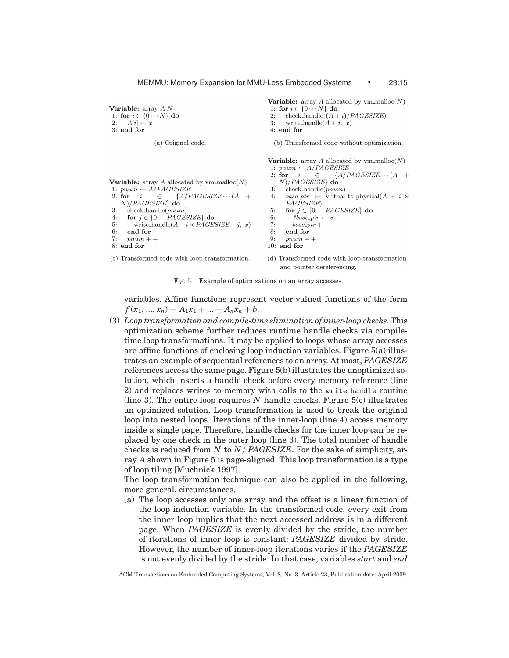Variable:  $array A[N]$ 1: for  $i \in \{0 \cdots N\}$  do 2:  $A[i] \leftarrow x$  $3:$  end for

1:  $pnum \leftarrow A/PAGESIZE$ 

 $N)/PAGESIZE$  do

end for

 $pnum + +$ 

3.  $4:$ 

 $5:$ 6:

 $7:$ 

8: end for

 $check$ -handle $(pnum)$ 

(a) Original code.

Variable: array A allocated by vm\_malloc( $N$ )

for  $j \in \{0 \cdots PAGESIZE\}$  do

2: for  $i \in \{A/PAGESIZE \cdots (A +$ 

write\_handle( $A + i \times PAGESIZE + j, x$ )

```
check_handle((A + i)/PAGESIZE)\mathcal{D}.
\mathbf{R}write_handle(A + i, x)4:end{\bf for}(b) Transformed code without optimization.
Variable: array A allocated by vm_malloc(N)1: pnum \leftarrow A/PAGESIZE{A/PAGESIZE\cdots (A +2: for i\epsilonN)/PAGESIZE\} do
      \text{check}\_\text{handle}(pnum)3.base\_ptr \leftarrow \text{virtual_to\_physical}(A + i \times4:PAGESIZE5:
      for j \in \{0 \cdots PAGESIZE\} do
6:*base_ptr \leftarrow x
         base\_ptr++7:8:end for
9:pnum + +10: end for
(d) Transformed code with loop transformation
    and pointer dereferencing.
```
Variable: array A allocated by  $v$ m\_malloc $(N)$ 

1: for  $i \in \{0 \cdots N\}$  do

(c) Transformed code with loop transformation.

Fig. 5. Example of optimizations on an array accesses.

variables. Affine functions represent vector-valued functions of the form  $f(x_1, ..., x_n) = A_1x_1 + ... + A_nx_n + b.$ 

(3) *Loop transformation and compile-time elimination of inner-loop checks.* This optimization scheme further reduces runtime handle checks via compiletime loop transformations. It may be applied to loops whose array accesses are affine functions of enclosing loop induction variables. Figure 5(a) illustrates an example of sequential references to an array. At most, *PAGESIZE* references access the same page. Figure 5(b) illustrates the unoptimized solution, which inserts a handle check before every memory reference (line 2) and replaces writes to memory with calls to the write handle routine (line 3). The entire loop requires *N* handle checks. Figure 5(c) illustrates an optimized solution. Loop transformation is used to break the original loop into nested loops. Iterations of the inner-loop (line 4) access memory inside a single page. Therefore, handle checks for the inner loop can be replaced by one check in the outer loop (line 3). The total number of handle checks is reduced from *N* to *N*/ *PAGESIZE*. For the sake of simplicity, array *A* shown in Figure 5 is page-aligned. This loop transformation is a type of loop tiling [Muchnick 1997].

The loop transformation technique can also be applied in the following, more general, circumstances.

(a) The loop accesses only one array and the offset is a linear function of the loop induction variable. In the transformed code, every exit from the inner loop implies that the next accessed address is in a different page. When *PAGESIZE* is evenly divided by the stride, the number of iterations of inner loop is constant: *PAGESIZE* divided by stride. However, the number of inner-loop iterations varies if the *PAGESIZE* is not evenly divided by the stride. In that case, variables *start* and *end*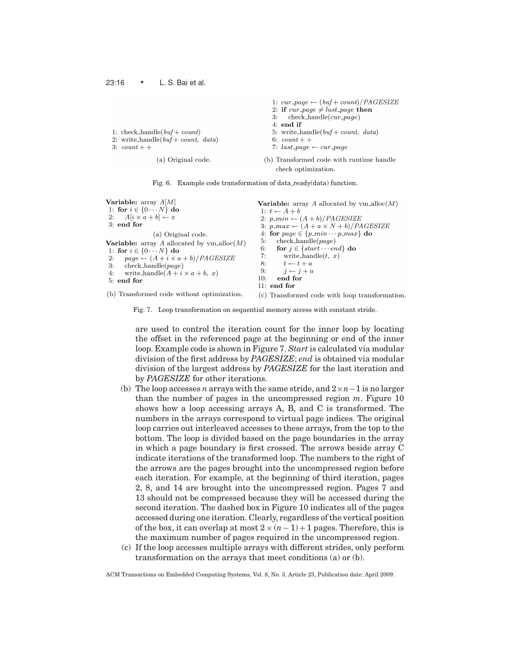|                                       | 1. Car $-page \leftarrow (val + count)/FAGEDIZE$                |
|---------------------------------------|-----------------------------------------------------------------|
|                                       | 2: if $cur\_page \neq last\_page$ then                          |
|                                       | $check\_handle(cur\_page)$<br>3:                                |
|                                       | $4:$ end if                                                     |
| 1: check_handle( $buf$ + count)       | 5: write_handle( $buf$ + count, data)                           |
| 2: write_handle( $buf$ + count, data) | 6: $count + +$                                                  |
| $3:$ count $+$ +                      | 7: $last\_page \leftarrow cur\_page$                            |
| (a) Original code.                    | (b) Transformed code with runtime handle<br>check optimization. |
|                                       |                                                                 |

and the company of the company

 $(L, L)$   $\longrightarrow$   $(L)$   $(D)$ 

Fig. 6. Example code transformation of data ready(data) function.

| <b>Variable:</b> array $A M $<br>1: for $i \in \{0 \cdots N\}$ do<br>2: $A[i \times a + b] \leftarrow x$<br>$3:$ end for                                                                                                                                               | <b>Variable:</b> array A allocated by $vm\_alloc(M)$<br>1: $t \leftarrow A + b$<br>2: $p\_min \leftarrow (A + b)/PAGESIZE$<br>3: $p\_max \leftarrow (A + a \times N + b)/PAGESIZE$                                                                |
|------------------------------------------------------------------------------------------------------------------------------------------------------------------------------------------------------------------------------------------------------------------------|---------------------------------------------------------------------------------------------------------------------------------------------------------------------------------------------------------------------------------------------------|
| (a) Original code.<br><b>Variable:</b> array A allocated by $vm\_alloc(M)$<br>1: for $i \in \{0 \cdots N\}$ do<br>2: $page \leftarrow (A + i \times a + b) / PAGESIZE$<br>$check\_handle(page)$<br>3:<br>write_handle( $A + i \times a + b$ , x)<br>4:<br>$5:$ end for | 4. for $page \in \{p\_min \cdots p\_max\}$ do<br>$check\_handle(page)$<br>5:<br>for $j \in \{start \cdots end\}$ do<br>6.<br>write_handle $(t, x)$<br>7:<br>8. $t \leftarrow t + a$<br>9: $i \leftarrow i + a$<br>end for<br>10:<br>$11:$ end for |
| (b) Transformed code without optimization.                                                                                                                                                                                                                             | (c) Transformed code with loop transformation.                                                                                                                                                                                                    |

Fig. 7. Loop transformation on sequential memory access with constant stride.

are used to control the iteration count for the inner loop by locating the offset in the referenced page at the beginning or end of the inner loop. Example code is shown in Figure 7. *Start* is calculated via modular division of the first address by *PAGESIZE*; *end* is obtained via modular division of the largest address by *PAGESIZE* for the last iteration and by *PAGESIZE* for other iterations.

- (b) The loop accesses *n* arrays with the same stride, and 2×*n*−1 is no larger than the number of pages in the uncompressed region *m*. Figure 10 shows how a loop accessing arrays A, B, and C is transformed. The numbers in the arrays correspond to virtual page indices. The original loop carries out interleaved accesses to these arrays, from the top to the bottom. The loop is divided based on the page boundaries in the array in which a page boundary is first crossed. The arrows beside array C indicate iterations of the transformed loop. The numbers to the right of the arrows are the pages brought into the uncompressed region before each iteration. For example, at the beginning of third iteration, pages 2, 8, and 14 are brought into the uncompressed region. Pages 7 and 13 should not be compressed because they will be accessed during the second iteration. The dashed box in Figure 10 indicates all of the pages accessed during one iteration. Clearly, regardless of the vertical position of the box, it can overlap at most  $2 \times (n-1) + 1$  pages. Therefore, this is the maximum number of pages required in the uncompressed region.
- (c) If the loop accesses multiple arrays with different strides, only perform transformation on the arrays that meet conditions (a) or (b).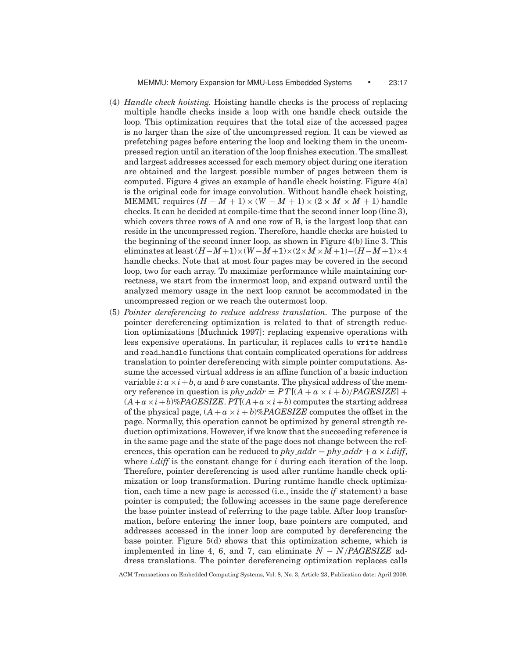- (4) *Handle check hoisting.* Hoisting handle checks is the process of replacing multiple handle checks inside a loop with one handle check outside the loop. This optimization requires that the total size of the accessed pages is no larger than the size of the uncompressed region. It can be viewed as prefetching pages before entering the loop and locking them in the uncompressed region until an iteration of the loop finishes execution. The smallest and largest addresses accessed for each memory object during one iteration are obtained and the largest possible number of pages between them is computed. Figure 4 gives an example of handle check hoisting. Figure  $4(a)$ is the original code for image convolution. Without handle check hoisting, MEMMU requires  $(H - M + 1) \times (W - M + 1) \times (2 \times M \times M + 1)$  handle checks. It can be decided at compile-time that the second inner loop (line 3), which covers three rows of A and one row of B, is the largest loop that can reside in the uncompressed region. Therefore, handle checks are hoisted to the beginning of the second inner loop, as shown in Figure 4(b) line 3. This eliminates at least (*H*−*M*+1)×(*W* −*M*+1)×(2×*M*×*M*+1)−(*H*−*M*+1)×4 handle checks. Note that at most four pages may be covered in the second loop, two for each array. To maximize performance while maintaining correctness, we start from the innermost loop, and expand outward until the analyzed memory usage in the next loop cannot be accommodated in the uncompressed region or we reach the outermost loop.
- (5) *Pointer dereferencing to reduce address translation.* The purpose of the pointer dereferencing optimization is related to that of strength reduction optimizations [Muchnick 1997]: replacing expensive operations with less expensive operations. In particular, it replaces calls to write handle and read handle functions that contain complicated operations for address translation to pointer dereferencing with simple pointer computations. Assume the accessed virtual address is an affine function of a basic induction variable  $i: a \times i + b$ ,  $a$  and  $b$  are constants. The physical address of the memory reference in question is *phy*  $\alpha ddr = PT[(A + a \times i + b)/PAGESIZE]$  +  $(A+a \times i+b)\% PAGESIZE. PT[(A+a \times i+b)$  computes the starting address of the physical page,  $(A + a \times i + b)\% PAGESIZE$  computes the offset in the page. Normally, this operation cannot be optimized by general strength reduction optimizations. However, if we know that the succeeding reference is in the same page and the state of the page does not change between the references, this operation can be reduced to *phy\_addr* = *phy\_addr* +  $a \times i$ .diff, where *i.diff* is the constant change for *i* during each iteration of the loop. Therefore, pointer dereferencing is used after runtime handle check optimization or loop transformation. During runtime handle check optimization, each time a new page is accessed (i.e., inside the *if* statement) a base pointer is computed; the following accesses in the same page dereference the base pointer instead of referring to the page table. After loop transformation, before entering the inner loop, base pointers are computed, and addresses accessed in the inner loop are computed by dereferencing the base pointer. Figure 5(d) shows that this optimization scheme, which is implemented in line 4, 6, and 7, can eliminate *N* − *N*/*PAGESIZE* address translations. The pointer dereferencing optimization replaces calls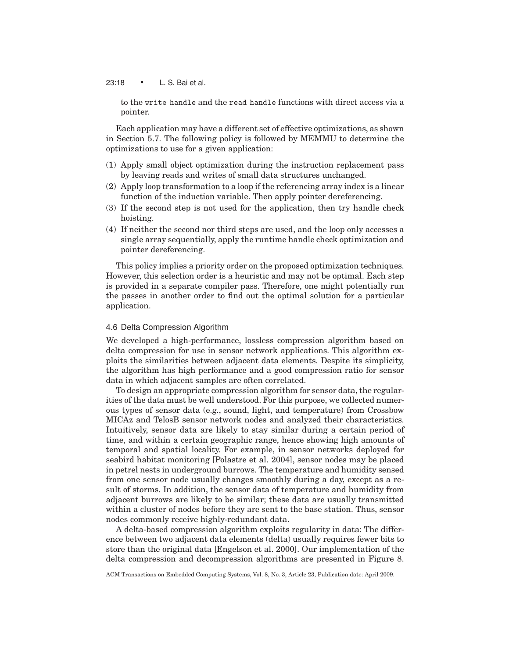#### 23:18 • L. S. Bai et al.

to the write handle and the read handle functions with direct access via a pointer.

Each application may have a different set of effective optimizations, as shown in Section 5.7. The following policy is followed by MEMMU to determine the optimizations to use for a given application:

- (1) Apply small object optimization during the instruction replacement pass by leaving reads and writes of small data structures unchanged.
- (2) Apply loop transformation to a loop if the referencing array index is a linear function of the induction variable. Then apply pointer dereferencing.
- (3) If the second step is not used for the application, then try handle check hoisting.
- (4) If neither the second nor third steps are used, and the loop only accesses a single array sequentially, apply the runtime handle check optimization and pointer dereferencing.

This policy implies a priority order on the proposed optimization techniques. However, this selection order is a heuristic and may not be optimal. Each step is provided in a separate compiler pass. Therefore, one might potentially run the passes in another order to find out the optimal solution for a particular application.

### 4.6 Delta Compression Algorithm

We developed a high-performance, lossless compression algorithm based on delta compression for use in sensor network applications. This algorithm exploits the similarities between adjacent data elements. Despite its simplicity, the algorithm has high performance and a good compression ratio for sensor data in which adjacent samples are often correlated.

To design an appropriate compression algorithm for sensor data, the regularities of the data must be well understood. For this purpose, we collected numerous types of sensor data (e.g., sound, light, and temperature) from Crossbow MICAz and TelosB sensor network nodes and analyzed their characteristics. Intuitively, sensor data are likely to stay similar during a certain period of time, and within a certain geographic range, hence showing high amounts of temporal and spatial locality. For example, in sensor networks deployed for seabird habitat monitoring [Polastre et al. 2004], sensor nodes may be placed in petrel nests in underground burrows. The temperature and humidity sensed from one sensor node usually changes smoothly during a day, except as a result of storms. In addition, the sensor data of temperature and humidity from adjacent burrows are likely to be similar; these data are usually transmitted within a cluster of nodes before they are sent to the base station. Thus, sensor nodes commonly receive highly-redundant data.

A delta-based compression algorithm exploits regularity in data: The difference between two adjacent data elements (delta) usually requires fewer bits to store than the original data [Engelson et al. 2000]. Our implementation of the delta compression and decompression algorithms are presented in Figure 8.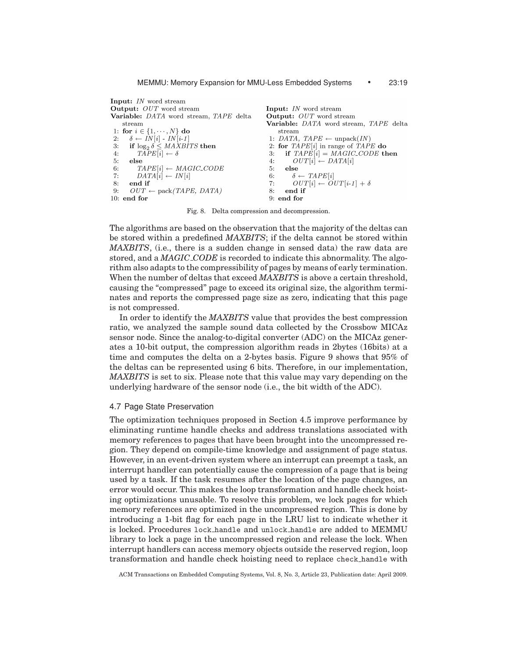Input: IN word stream Output: OUT word stream Input: IN word stream Variable: DATA word stream, TAPE delta Output: OUT word stream Variable: DATA word stream, TAPE delta stream 1: for  $i \in \{1, \dots, N\}$  do stream  $\delta \leftarrow \overline{IN}[i] \cdot \overline{IN}[i\text{-}1]$ <br>
if  $\log_2 \delta \leq \textit{MAXBITS}$  then  $2:$ 1: DATA, TAPE  $\leftarrow$  unpack(IN) 2: for  $TAPE[i]$  in range of  $TAPE$  do  $3:$  $TAPE[i] \leftarrow \delta$ if  $TAPE[i] = MAGIC\_CODE$  then  $4:$  $\cdot$ 3:  $4:$  $OUT[i] \leftarrow DATA[i]$ -5: else  $TAPE[i] \leftarrow MAGIC\_CODE$ 5: 6: else  $DATA[i] \leftarrow IN[i]$ 6:  $\delta \leftarrow \mathit{TAPE}[i]$  $7:$  $OUT[i] \leftarrow OUT[i\text{-}1] + \delta$ 8: end if  $7:$  $OUT \leftarrow pack(TAPE, DATA)$ 9: 8: end if  $9:$  end for  $10:$  end for

Fig. 8. Delta compression and decompression.

The algorithms are based on the observation that the majority of the deltas can be stored within a predefined *MAXBITS*; if the delta cannot be stored within *MAXBITS*, (i.e., there is a sudden change in sensed data) the raw data are stored, and a *MAGIC CODE* is recorded to indicate this abnormality. The algorithm also adapts to the compressibility of pages by means of early termination. When the number of deltas that exceed *MAXBITS* is above a certain threshold, causing the "compressed" page to exceed its original size, the algorithm terminates and reports the compressed page size as zero, indicating that this page is not compressed.

In order to identify the *MAXBITS* value that provides the best compression ratio, we analyzed the sample sound data collected by the Crossbow MICAz sensor node. Since the analog-to-digital converter (ADC) on the MICAz generates a 10-bit output, the compression algorithm reads in 2bytes (16bits) at a time and computes the delta on a 2-bytes basis. Figure 9 shows that 95% of the deltas can be represented using 6 bits. Therefore, in our implementation, *MAXBITS* is set to six. Please note that this value may vary depending on the underlying hardware of the sensor node (i.e., the bit width of the ADC).

# 4.7 Page State Preservation

The optimization techniques proposed in Section 4.5 improve performance by eliminating runtime handle checks and address translations associated with memory references to pages that have been brought into the uncompressed region. They depend on compile-time knowledge and assignment of page status. However, in an event-driven system where an interrupt can preempt a task, an interrupt handler can potentially cause the compression of a page that is being used by a task. If the task resumes after the location of the page changes, an error would occur. This makes the loop transformation and handle check hoisting optimizations unusable. To resolve this problem, we lock pages for which memory references are optimized in the uncompressed region. This is done by introducing a 1-bit flag for each page in the LRU list to indicate whether it is locked. Procedures lock handle and unlock handle are added to MEMMU library to lock a page in the uncompressed region and release the lock. When interrupt handlers can access memory objects outside the reserved region, loop transformation and handle check hoisting need to replace check handle with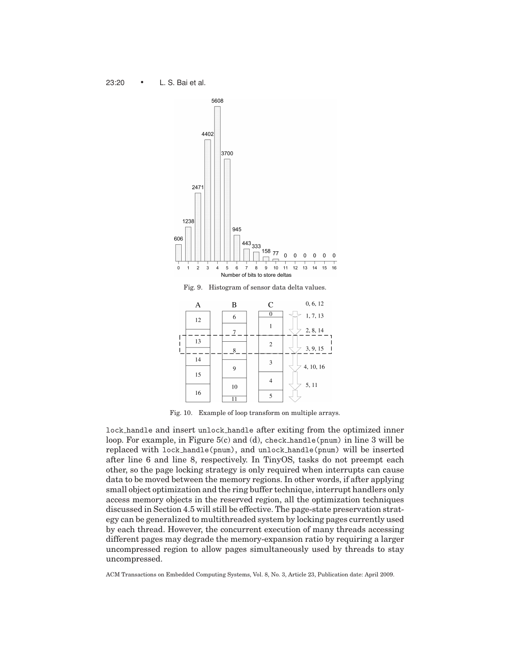

Fig. 10. Example of loop transform on multiple arrays.

lock handle and insert unlock handle after exiting from the optimized inner loop. For example, in Figure 5(c) and (d), check handle(pnum) in line 3 will be replaced with lock handle(pnum), and unlock handle(pnum) will be inserted after line 6 and line 8, respectively. In TinyOS, tasks do not preempt each other, so the page locking strategy is only required when interrupts can cause data to be moved between the memory regions. In other words, if after applying small object optimization and the ring buffer technique, interrupt handlers only access memory objects in the reserved region, all the optimization techniques discussed in Section 4.5 will still be effective. The page-state preservation strategy can be generalized to multithreaded system by locking pages currently used by each thread. However, the concurrent execution of many threads accessing different pages may degrade the memory-expansion ratio by requiring a larger uncompressed region to allow pages simultaneously used by threads to stay uncompressed.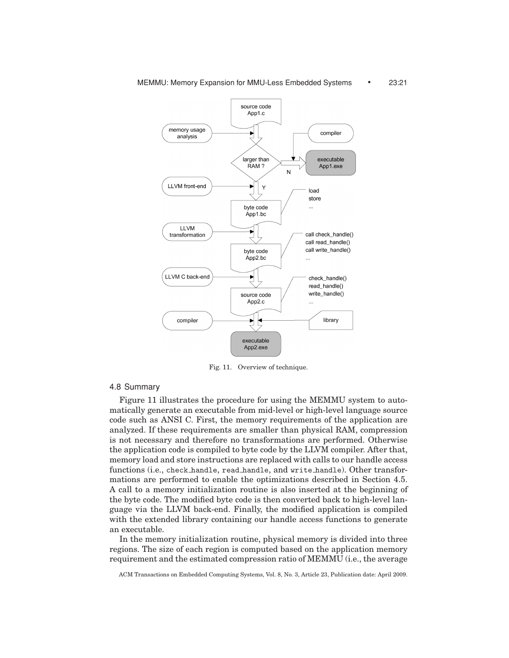

Fig. 11. Overview of technique.

# 4.8 Summary

Figure 11 illustrates the procedure for using the MEMMU system to automatically generate an executable from mid-level or high-level language source code such as ANSI C. First, the memory requirements of the application are analyzed. If these requirements are smaller than physical RAM, compression is not necessary and therefore no transformations are performed. Otherwise the application code is compiled to byte code by the LLVM compiler. After that, memory load and store instructions are replaced with calls to our handle access functions (i.e., check handle, read handle, and write handle). Other transformations are performed to enable the optimizations described in Section 4.5. A call to a memory initialization routine is also inserted at the beginning of the byte code. The modified byte code is then converted back to high-level language via the LLVM back-end. Finally, the modified application is compiled with the extended library containing our handle access functions to generate an executable.

In the memory initialization routine, physical memory is divided into three regions. The size of each region is computed based on the application memory requirement and the estimated compression ratio of MEMMU (i.e., the average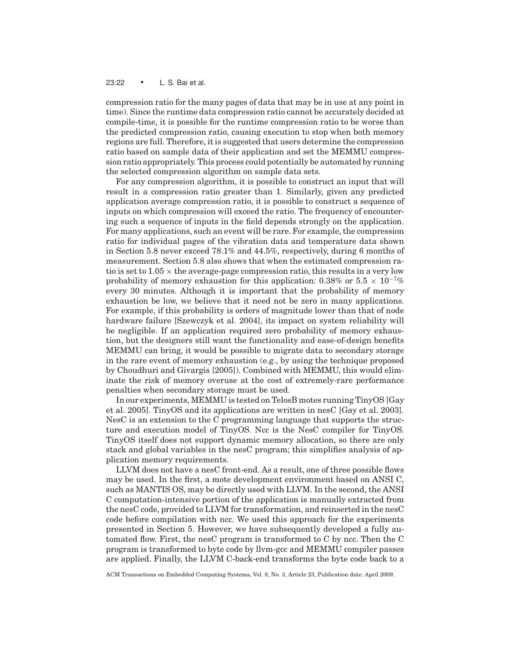#### 23:22 • L. S. Bai et al.

compression ratio for the many pages of data that may be in use at any point in time). Since the runtime data compression ratio cannot be accurately decided at compile-time, it is possible for the runtime compression ratio to be worse than the predicted compression ratio, causing execution to stop when both memory regions are full. Therefore, it is suggested that users determine the compression ratio based on sample data of their application and set the MEMMU compression ratio appropriately. This process could potentially be automated by running the selected compression algorithm on sample data sets.

For any compression algorithm, it is possible to construct an input that will result in a compression ratio greater than 1. Similarly, given any predicted application average compression ratio, it is possible to construct a sequence of inputs on which compression will exceed the ratio. The frequency of encountering such a sequence of inputs in the field depends strongly on the application. For many applications, such an event will be rare. For example, the compression ratio for individual pages of the vibration data and temperature data shown in Section 5.8 never exceed 78.1% and 44.5%, respectively, during 6 months of measurement. Section 5.8 also shows that when the estimated compression ratio is set to  $1.05 \times$  the average-page compression ratio, this results in a very low probability of memory exhaustion for this application: 0.38% or 5.5  $\times$  10<sup>-7</sup>% every 30 minutes. Although it is important that the probability of memory exhaustion be low, we believe that it need not be zero in many applications. For example, if this probability is orders of magnitude lower than that of node hardware failure [Szewczyk et al. 2004], its impact on system reliability will be negligible. If an application required zero probability of memory exhaustion, but the designers still want the functionality and ease-of-design benefits MEMMU can bring, it would be possible to migrate data to secondary storage in the rare event of memory exhaustion (e.g., by using the technique proposed by Choudhuri and Givargis [2005]). Combined with MEMMU, this would eliminate the risk of memory overuse at the cost of extremely-rare performance penalties when secondary storage must be used.

In our experiments, MEMMU is tested on TelosB motes running TinyOS [Gay et al. 2005]. TinyOS and its applications are written in nesC [Gay et al. 2003]. NesC is an extension to the C programming language that supports the structure and execution model of TinyOS. Ncc is the NesC compiler for TinyOS. TinyOS itself does not support dynamic memory allocation, so there are only stack and global variables in the nesC program; this simplifies analysis of application memory requirements.

LLVM does not have a nesC front-end. As a result, one of three possible flows may be used. In the first, a mote development environment based on ANSI C, such as MANTIS OS, may be directly used with LLVM. In the second, the ANSI C computation-intensive portion of the application is manually extracted from the nesC code, provided to LLVM for transformation, and reinserted in the nesC code before compilation with ncc. We used this approach for the experiments presented in Section 5. However, we have subsequently developed a fully automated flow. First, the nesC program is transformed to C by ncc. Then the C program is transformed to byte code by llvm-gcc and MEMMU compiler passes are applied. Finally, the LLVM C-back-end transforms the byte code back to a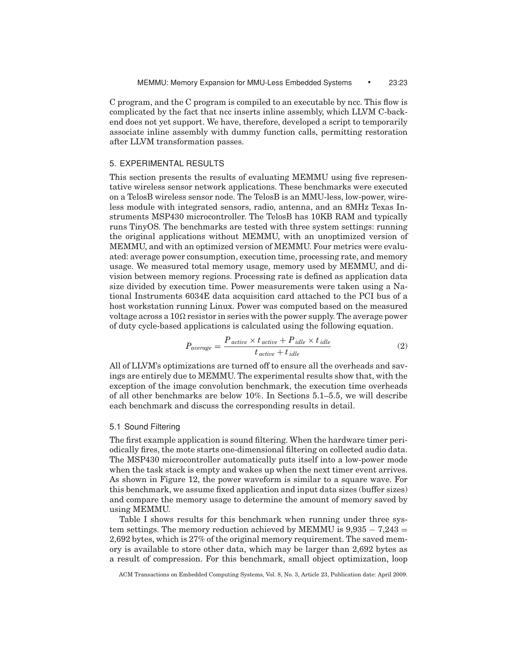C program, and the C program is compiled to an executable by ncc. This flow is complicated by the fact that ncc inserts inline assembly, which LLVM C-backend does not yet support. We have, therefore, developed a script to temporarily associate inline assembly with dummy function calls, permitting restoration after LLVM transformation passes.

# 5. EXPERIMENTAL RESULTS

This section presents the results of evaluating MEMMU using five representative wireless sensor network applications. These benchmarks were executed on a TelosB wireless sensor node. The TelosB is an MMU-less, low-power, wireless module with integrated sensors, radio, antenna, and an 8MHz Texas Instruments MSP430 microcontroller. The TelosB has 10KB RAM and typically runs TinyOS. The benchmarks are tested with three system settings: running the original applications without MEMMU, with an unoptimized version of MEMMU, and with an optimized version of MEMMU. Four metrics were evaluated: average power consumption, execution time, processing rate, and memory usage. We measured total memory usage, memory used by MEMMU, and division between memory regions. Processing rate is defined as application data size divided by execution time. Power measurements were taken using a National Instruments 6034E data acquisition card attached to the PCI bus of a host workstation running Linux. Power was computed based on the measured voltage across a 10 $\Omega$  resistor in series with the power supply. The average power of duty cycle-based applications is calculated using the following equation.

$$
P_{average} = \frac{P_{active} \times t_{active} + P_{idle} \times t_{idle}}{t_{active} + t_{idle}}
$$
\n(2)

All of LLVM's optimizations are turned off to ensure all the overheads and savings are entirely due to MEMMU. The experimental results show that, with the exception of the image convolution benchmark, the execution time overheads of all other benchmarks are below 10%. In Sections 5.1–5.5, we will describe each benchmark and discuss the corresponding results in detail.

#### 5.1 Sound Filtering

The first example application is sound filtering. When the hardware timer periodically fires, the mote starts one-dimensional filtering on collected audio data. The MSP430 microcontroller automatically puts itself into a low-power mode when the task stack is empty and wakes up when the next timer event arrives. As shown in Figure 12, the power waveform is similar to a square wave. For this benchmark, we assume fixed application and input data sizes (buffer sizes) and compare the memory usage to determine the amount of memory saved by using MEMMU.

Table I shows results for this benchmark when running under three system settings. The memory reduction achieved by MEMMU is  $9,935 - 7,243 =$ 2,692 bytes, which is 27% of the original memory requirement. The saved memory is available to store other data, which may be larger than 2,692 bytes as a result of compression. For this benchmark, small object optimization, loop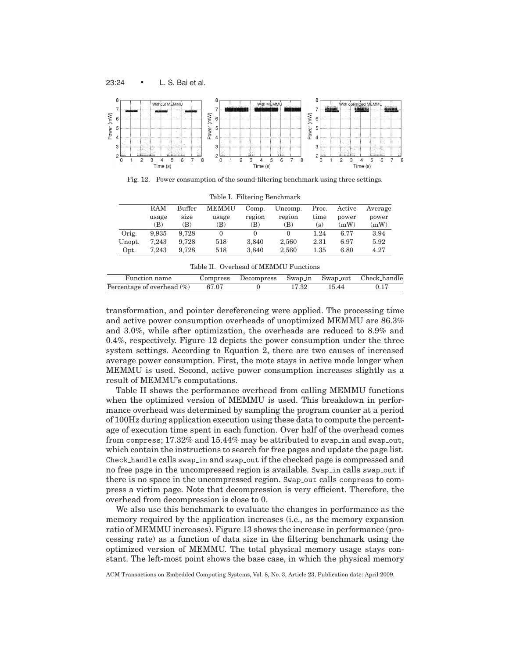

Fig. 12. Power consumption of the sound-filtering benchmark using three settings.

|        | RAM   | Buffer | <b>MEMMU</b> | Comp.  | Uncomp. | Proc.    | Active | Average |
|--------|-------|--------|--------------|--------|---------|----------|--------|---------|
|        | usage | size   | usage        | region | region  | time     | power  | power   |
|        | (B)   | (B)    | (B)          | (B)    | B)      | (s)      | (mW)   | (mW)    |
| Orig.  | 9.935 | 9.728  |              |        |         | 1.24     | 6.77   | 3.94    |
| Unopt. | 7.243 | 9.728  | 518          | 3.840  | 2.560   | 2.31     | 6.97   | 5.92    |
| Opt.   | 7.243 | 9.728  | 518          | 3.840  | 2.560   | $1.35\,$ | 6.80   | 4.27    |

Table I. Filtering Benchmark

|  |  | Table II. Overhead of MEMMU Functions |  |
|--|--|---------------------------------------|--|
|--|--|---------------------------------------|--|

| Function name                       | Compress |  |       | Decompress Swap in Swap out Check handle |
|-------------------------------------|----------|--|-------|------------------------------------------|
| Percentage of overhead $(\%)$ 67.07 |          |  | 15.44 |                                          |

transformation, and pointer dereferencing were applied. The processing time and active power consumption overheads of unoptimized MEMMU are 86.3% and 3.0%, while after optimization, the overheads are reduced to 8.9% and 0.4%, respectively. Figure 12 depicts the power consumption under the three system settings. According to Equation 2, there are two causes of increased average power consumption. First, the mote stays in active mode longer when MEMMU is used. Second, active power consumption increases slightly as a result of MEMMU's computations.

Table II shows the performance overhead from calling MEMMU functions when the optimized version of MEMMU is used. This breakdown in performance overhead was determined by sampling the program counter at a period of 100Hz during application execution using these data to compute the percentage of execution time spent in each function. Over half of the overhead comes from compress;  $17.32\%$  and  $15.44\%$  may be attributed to swap in and swap out, which contain the instructions to search for free pages and update the page list. Check handle calls swap in and swap out if the checked page is compressed and no free page in the uncompressed region is available. Swap in calls swap out if there is no space in the uncompressed region. Swap out calls compress to compress a victim page. Note that decompression is very efficient. Therefore, the overhead from decompression is close to 0.

We also use this benchmark to evaluate the changes in performance as the memory required by the application increases (i.e., as the memory expansion ratio of MEMMU increases). Figure 13 shows the increase in performance (processing rate) as a function of data size in the filtering benchmark using the optimized version of MEMMU. The total physical memory usage stays constant. The left-most point shows the base case, in which the physical memory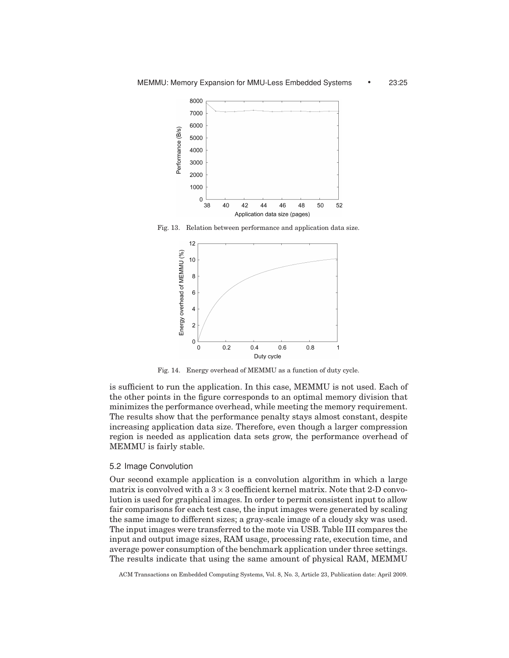

Fig. 13. Relation between performance and application data size.



Fig. 14. Energy overhead of MEMMU as a function of duty cycle.

is sufficient to run the application. In this case, MEMMU is not used. Each of the other points in the figure corresponds to an optimal memory division that minimizes the performance overhead, while meeting the memory requirement. The results show that the performance penalty stays almost constant, despite increasing application data size. Therefore, even though a larger compression region is needed as application data sets grow, the performance overhead of MEMMU is fairly stable.

#### 5.2 Image Convolution

Our second example application is a convolution algorithm in which a large matrix is convolved with a  $3 \times 3$  coefficient kernel matrix. Note that 2-D convolution is used for graphical images. In order to permit consistent input to allow fair comparisons for each test case, the input images were generated by scaling the same image to different sizes; a gray-scale image of a cloudy sky was used. The input images were transferred to the mote via USB. Table III compares the input and output image sizes, RAM usage, processing rate, execution time, and average power consumption of the benchmark application under three settings. The results indicate that using the same amount of physical RAM, MEMMU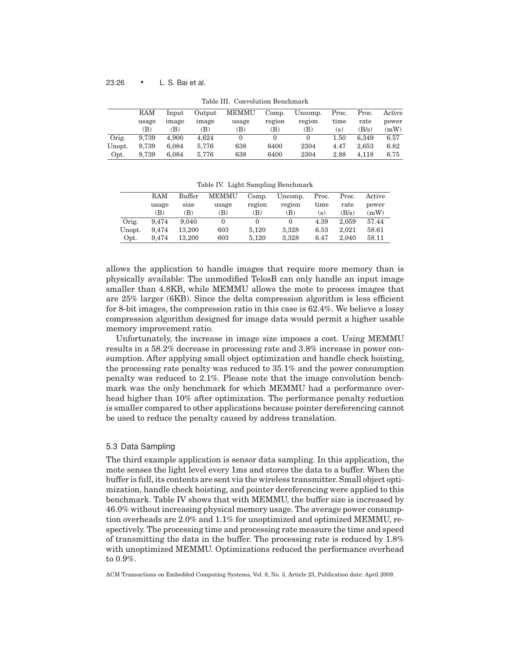### 23:26 • L. S. Bai et al.

|        | Table III. Convolution Benchmark |       |        |       |        |         |       |       |        |  |
|--------|----------------------------------|-------|--------|-------|--------|---------|-------|-------|--------|--|
|        | RAM                              | Input | Output | MEMMU | Comp.  | Uncomp. | Proc. | Proc. | Active |  |
|        | usage                            | image | image  | usage | region | region  | time  | rate  | power  |  |
|        | B)                               | (B)   | (B)    | B)    | (B)    | (B)     | [s)   | (B/s) | (mW)   |  |
| Orig.  | 9.739                            | 4.900 | 4.624  |       |        |         | 1.50  | 6.349 | 6.57   |  |
| Unopt. | 9.739                            | 6.084 | 5.776  | 638   | 6400   | 2304    | 4.47  | 2.653 | 6.82   |  |
| Opt.   | 9.739                            | 6.084 | 5.776  | 638   | 6400   | 2304    | 2.88  | 4.118 | 6.75   |  |

 $T<sub>1</sub>$ ble III.  $C<sub>2</sub>$  Convolution Benchmark

Table IV. Light Sampling Benchmark

|        | RAM   | <b>Buffer</b> | <b>MEMMU</b> | Comp.  | Uncomp. | Proc. | Proc. | Active |
|--------|-------|---------------|--------------|--------|---------|-------|-------|--------|
|        | usage | size          | usage        | region | region  | time  | rate  | power  |
|        | (B)   | B)            | (B)          | (B)    | (B)     | (s)   | (B/s) | (mW)   |
| Orig.  | 9.474 | 9.040         |              |        |         | 4.39  | 2.059 | 57.44  |
| Unopt. | 9.474 | 13.200        | 603          | 5.120  | 3.328   | 6.53  | 2.021 | 58.61  |
| Opt.   | 9.474 | 13.200        | 603          | 5.120  | 3.328   | 6.47  | 2.040 | 58.11  |

allows the application to handle images that require more memory than is physically available: The unmodified TelosB can only handle an input image smaller than 4.8KB, while MEMMU allows the mote to process images that are 25% larger (6KB). Since the delta compression algorithm is less efficient for 8-bit images, the compression ratio in this case is 62.4%. We believe a lossy compression algorithm designed for image data would permit a higher usable memory improvement ratio.

Unfortunately, the increase in image size imposes a cost. Using MEMMU results in a 58.2% decrease in processing rate and 3.8% increase in power consumption. After applying small object optimization and handle check hoisting, the processing rate penalty was reduced to 35.1% and the power consumption penalty was reduced to 2.1%. Please note that the image convolution benchmark was the only benchmark for which MEMMU had a performance overhead higher than 10% after optimization. The performance penalty reduction is smaller compared to other applications because pointer dereferencing cannot be used to reduce the penalty caused by address translation.

# 5.3 Data Sampling

The third example application is sensor data sampling. In this application, the mote senses the light level every 1ms and stores the data to a buffer. When the buffer is full, its contents are sent via the wireless transmitter. Small object optimization, handle check hoisting, and pointer dereferencing were applied to this benchmark. Table IV shows that with MEMMU, the buffer size is increased by 46.0% without increasing physical memory usage. The average power consumption overheads are 2.0% and 1.1% for unoptimized and optimized MEMMU, respectively. The processing time and processing rate measure the time and speed of transmitting the data in the buffer. The processing rate is reduced by 1.8% with unoptimized MEMMU. Optimizations reduced the performance overhead to 0.9%.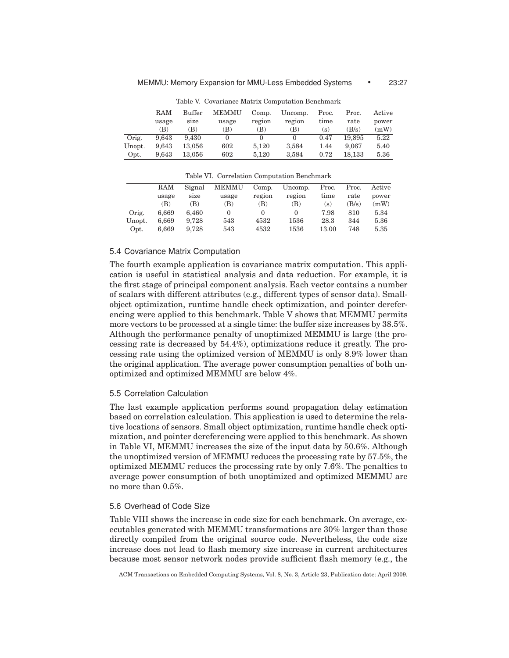|        | RAM   | Buffer | <b>MEMMU</b> | Comp.  | Uncomp. | Proc. | Proc.  | Active |  |  |
|--------|-------|--------|--------------|--------|---------|-------|--------|--------|--|--|
|        | usage | size   | usage        | region | region  | time  | rate   | power  |  |  |
|        | (B)   | (B)    | (B)          | B)     | (B)     | (s)   | (B/s)  | (mW)   |  |  |
| Orig.  | 9.643 | 9.430  |              |        |         | 0.47  | 19.895 | 5.22   |  |  |
| Unopt. | 9.643 | 13.056 | 602          | 5.120  | 3.584   | 1.44  | 9.067  | 5.40   |  |  |
| Opt.   | 9.643 | 13.056 | 602          | 5.120  | 3,584   | 0.72  | 18.133 | 5.36   |  |  |

Table V. Covariance Matrix Computation Benchmark

Table VI. Correlation Computation Benchmark

|        | <b>RAM</b> | Signal | <b>MEMMU</b> | Comp.  | Uncomp. | Proc.             | Proc.   | Active |
|--------|------------|--------|--------------|--------|---------|-------------------|---------|--------|
|        | usage      | size   | usage        | region | region  | time              | rate    | power  |
|        | (B)        | (B)    | (B)          | (B)    | (B)     | $\left( s\right)$ | $B/s$ ) | (mW)   |
| Orig.  | 6.669      | 6.460  |              | 0      |         | 7.98              | 810     | 5.34   |
| Unopt. | 6.669      | 9.728  | 543          | 4532   | 1536    | 28.3              | 344     | 5.36   |
| Opt.   | 6.669      | 9.728  | 543          | 4532   | 1536    | 13.00             | 748     | 5.35   |

#### 5.4 Covariance Matrix Computation

The fourth example application is covariance matrix computation. This application is useful in statistical analysis and data reduction. For example, it is the first stage of principal component analysis. Each vector contains a number of scalars with different attributes (e.g., different types of sensor data). Smallobject optimization, runtime handle check optimization, and pointer dereferencing were applied to this benchmark. Table V shows that MEMMU permits more vectors to be processed at a single time: the buffer size increases by 38.5%. Although the performance penalty of unoptimized MEMMU is large (the processing rate is decreased by 54.4%), optimizations reduce it greatly. The processing rate using the optimized version of MEMMU is only 8.9% lower than the original application. The average power consumption penalties of both unoptimized and optimized MEMMU are below 4%.

# 5.5 Correlation Calculation

The last example application performs sound propagation delay estimation based on correlation calculation. This application is used to determine the relative locations of sensors. Small object optimization, runtime handle check optimization, and pointer dereferencing were applied to this benchmark. As shown in Table VI, MEMMU increases the size of the input data by 50.6%. Although the unoptimized version of MEMMU reduces the processing rate by 57.5%, the optimized MEMMU reduces the processing rate by only 7.6%. The penalties to average power consumption of both unoptimized and optimized MEMMU are no more than 0.5%.

# 5.6 Overhead of Code Size

Table VIII shows the increase in code size for each benchmark. On average, executables generated with MEMMU transformations are 30% larger than those directly compiled from the original source code. Nevertheless, the code size increase does not lead to flash memory size increase in current architectures because most sensor network nodes provide sufficient flash memory (e.g., the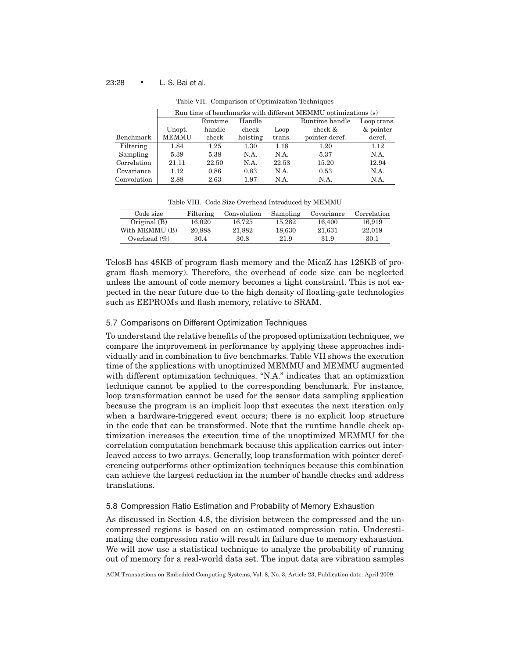# 23:28 • L. S. Bai et al.

|             |              | Run time of benchmarks with different MEMMU optimizations (s) |          |        |                |             |  |  |  |  |
|-------------|--------------|---------------------------------------------------------------|----------|--------|----------------|-------------|--|--|--|--|
|             |              | Runtime                                                       | Handle   |        | Runtime handle | Loop trans. |  |  |  |  |
|             | Unopt.       | handle                                                        | check    | Loop   | check &        | & pointer   |  |  |  |  |
| Benchmark   | <b>MEMMU</b> | check                                                         | hoisting | trans. | pointer deref. | deref.      |  |  |  |  |
| Filtering   | 1.84         | 1.25                                                          | 1.30     | 1.18   | 1.20           | 1.12        |  |  |  |  |
| Sampling    | 5.39         | 5.38                                                          | N.A.     | N.A.   | 5.37           | N.A.        |  |  |  |  |
| Correlation | 21.11        | 22.50                                                         | N.A.     | 22.53  | 15.20          | 12.94       |  |  |  |  |
| Covariance  | 1.12         | 0.86                                                          | 0.83     | N.A.   | 0.53           | N.A.        |  |  |  |  |
| Convolution | 2.88         | 2.63                                                          | 1.97     | N.A.   | N.A.           | N.A.        |  |  |  |  |

Table VII. Comparison of Optimization Techniques

Table VIII. Code Size Overhead Introduced by MEMMU

| Code size       | Filtering | Convolution | Sampling | Covariance | Correlation |
|-----------------|-----------|-------------|----------|------------|-------------|
| Original $(B)$  | 16.020    | 16.725      | 15.282   | 16.400     | 16.919      |
| With MEMMU (B)  | 20,888    | 21.882      | 18.630   | 21.631     | 22,019      |
| Overhead $(\%)$ | 30.4      | 30.8        | 21.9     | 31.9       | 30.1        |

TelosB has 48KB of program flash memory and the MicaZ has 128KB of program flash memory). Therefore, the overhead of code size can be neglected unless the amount of code memory becomes a tight constraint. This is not expected in the near future due to the high density of floating-gate technologies such as EEPROMs and flash memory, relative to SRAM.

# 5.7 Comparisons on Different Optimization Techniques

To understand the relative benefits of the proposed optimization techniques, we compare the improvement in performance by applying these approaches individually and in combination to five benchmarks. Table VII shows the execution time of the applications with unoptimized MEMMU and MEMMU augmented with different optimization techniques. "N.A." indicates that an optimization technique cannot be applied to the corresponding benchmark. For instance, loop transformation cannot be used for the sensor data sampling application because the program is an implicit loop that executes the next iteration only when a hardware-triggered event occurs; there is no explicit loop structure in the code that can be transformed. Note that the runtime handle check optimization increases the execution time of the unoptimized MEMMU for the correlation computation benchmark because this application carries out interleaved access to two arrays. Generally, loop transformation with pointer dereferencing outperforms other optimization techniques because this combination can achieve the largest reduction in the number of handle checks and address translations.

#### 5.8 Compression Ratio Estimation and Probability of Memory Exhaustion

As discussed in Section 4.8, the division between the compressed and the uncompressed regions is based on an estimated compression ratio. Underestimating the compression ratio will result in failure due to memory exhaustion. We will now use a statistical technique to analyze the probability of running out of memory for a real-world data set. The input data are vibration samples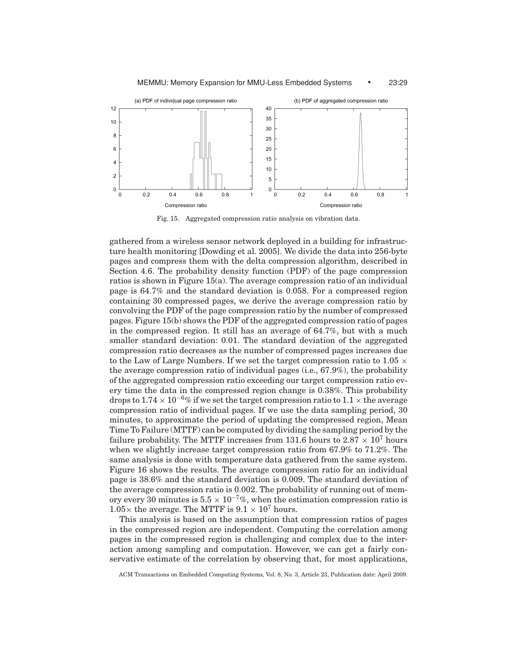

MEMMU: Memory Expansion for MMU-Less Embedded Systems • 23:29

Fig. 15. Aggregated compression ratio analysis on vibration data.

gathered from a wireless sensor network deployed in a building for infrastructure health monitoring [Dowding et al. 2005]. We divide the data into 256-byte pages and compress them with the delta compression algorithm, described in Section 4.6. The probability density function (PDF) of the page compression ratios is shown in Figure 15(a). The average compression ratio of an individual page is 64.7% and the standard deviation is 0.058. For a compressed region containing 30 compressed pages, we derive the average compression ratio by convolving the PDF of the page compression ratio by the number of compressed pages. Figure 15(b) shows the PDF of the aggregated compression ratio of pages in the compressed region. It still has an average of 64.7%, but with a much smaller standard deviation: 0.01. The standard deviation of the aggregated compression ratio decreases as the number of compressed pages increases due to the Law of Large Numbers. If we set the target compression ratio to 1.05  $\times$ the average compression ratio of individual pages (i.e., 67.9%), the probability of the aggregated compression ratio exceeding our target compression ratio every time the data in the compressed region change is 0.38%. This probability drops to  $1.74 \times 10^{-6}$ % if we set the target compression ratio to  $1.1 \times$  the average compression ratio of individual pages. If we use the data sampling period, 30 minutes, to approximate the period of updating the compressed region, Mean Time To Failure (MTTF) can be computed by dividing the sampling period by the failure probability. The MTTF increases from 131.6 hours to  $2.87 \times 10^7$  hours when we slightly increase target compression ratio from 67.9% to 71.2%. The same analysis is done with temperature data gathered from the same system. Figure 16 shows the results. The average compression ratio for an individual page is 38.6% and the standard deviation is 0.009. The standard deviation of the average compression ratio is 0.002. The probability of running out of memory every 30 minutes is  $5.5 \times 10^{-7}$ %, when the estimation compression ratio is  $1.05\times$  the average. The MTTF is  $9.1\times10^{7}$  hours.

This analysis is based on the assumption that compression ratios of pages in the compressed region are independent. Computing the correlation among pages in the compressed region is challenging and complex due to the interaction among sampling and computation. However, we can get a fairly conservative estimate of the correlation by observing that, for most applications,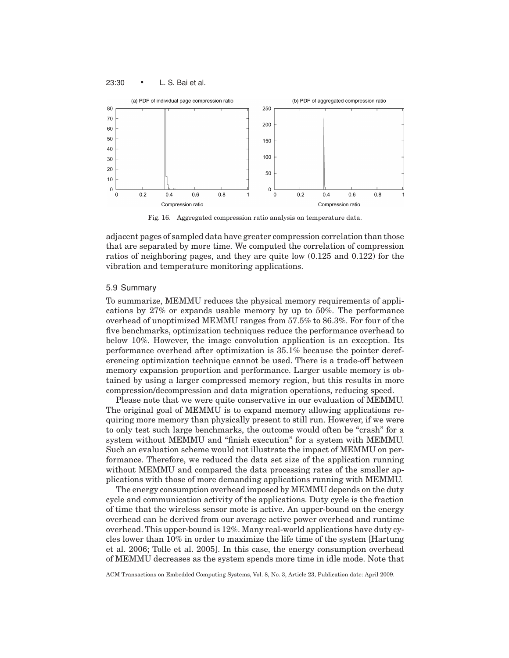

Fig. 16. Aggregated compression ratio analysis on temperature data.

adjacent pages of sampled data have greater compression correlation than those that are separated by more time. We computed the correlation of compression ratios of neighboring pages, and they are quite low (0.125 and 0.122) for the vibration and temperature monitoring applications.

# 5.9 Summary

23:30 • L. S. Bai et al.

To summarize, MEMMU reduces the physical memory requirements of applications by 27% or expands usable memory by up to 50%. The performance overhead of unoptimized MEMMU ranges from 57.5% to 86.3%. For four of the five benchmarks, optimization techniques reduce the performance overhead to below 10%. However, the image convolution application is an exception. Its performance overhead after optimization is 35.1% because the pointer dereferencing optimization technique cannot be used. There is a trade-off between memory expansion proportion and performance. Larger usable memory is obtained by using a larger compressed memory region, but this results in more compression/decompression and data migration operations, reducing speed.

Please note that we were quite conservative in our evaluation of MEMMU. The original goal of MEMMU is to expand memory allowing applications requiring more memory than physically present to still run. However, if we were to only test such large benchmarks, the outcome would often be "crash" for a system without MEMMU and "finish execution" for a system with MEMMU. Such an evaluation scheme would not illustrate the impact of MEMMU on performance. Therefore, we reduced the data set size of the application running without MEMMU and compared the data processing rates of the smaller applications with those of more demanding applications running with MEMMU.

The energy consumption overhead imposed by MEMMU depends on the duty cycle and communication activity of the applications. Duty cycle is the fraction of time that the wireless sensor mote is active. An upper-bound on the energy overhead can be derived from our average active power overhead and runtime overhead. This upper-bound is 12%. Many real-world applications have duty cycles lower than 10% in order to maximize the life time of the system [Hartung et al. 2006; Tolle et al. 2005]. In this case, the energy consumption overhead of MEMMU decreases as the system spends more time in idle mode. Note that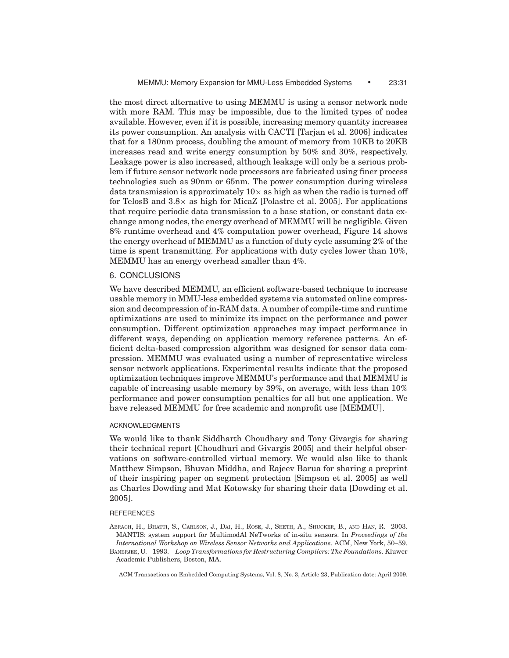the most direct alternative to using MEMMU is using a sensor network node with more RAM. This may be impossible, due to the limited types of nodes available. However, even if it is possible, increasing memory quantity increases its power consumption. An analysis with CACTI [Tarjan et al. 2006] indicates that for a 180nm process, doubling the amount of memory from 10KB to 20KB increases read and write energy consumption by 50% and 30%, respectively. Leakage power is also increased, although leakage will only be a serious problem if future sensor network node processors are fabricated using finer process technologies such as 90nm or 65nm. The power consumption during wireless data transmission is approximately  $10\times$  as high as when the radio is turned off for TelosB and  $3.8\times$  as high for MicaZ [Polastre et al. 2005]. For applications that require periodic data transmission to a base station, or constant data exchange among nodes, the energy overhead of MEMMU will be negligible. Given 8% runtime overhead and 4% computation power overhead, Figure 14 shows the energy overhead of MEMMU as a function of duty cycle assuming 2% of the time is spent transmitting. For applications with duty cycles lower than 10%, MEMMU has an energy overhead smaller than 4%.

# 6. CONCLUSIONS

We have described MEMMU, an efficient software-based technique to increase usable memory in MMU-less embedded systems via automated online compression and decompression of in-RAM data. A number of compile-time and runtime optimizations are used to minimize its impact on the performance and power consumption. Different optimization approaches may impact performance in different ways, depending on application memory reference patterns. An efficient delta-based compression algorithm was designed for sensor data compression. MEMMU was evaluated using a number of representative wireless sensor network applications. Experimental results indicate that the proposed optimization techniques improve MEMMU's performance and that MEMMU is capable of increasing usable memory by 39%, on average, with less than 10% performance and power consumption penalties for all but one application. We have released MEMMU for free academic and nonprofit use [MEMMU].

#### ACKNOWLEDGMENTS

We would like to thank Siddharth Choudhary and Tony Givargis for sharing their technical report [Choudhuri and Givargis 2005] and their helpful observations on software-controlled virtual memory. We would also like to thank Matthew Simpson, Bhuvan Middha, and Rajeev Barua for sharing a preprint of their inspiring paper on segment protection [Simpson et al. 2005] as well as Charles Dowding and Mat Kotowsky for sharing their data [Dowding et al. 2005].

#### **REFERENCES**

ABRACH, H., BHATTI, S., CARLSON, J., DAI, H., ROSE, J., SHETH, A., SHUCKER, B., AND HAN, R. 2003. MANTIS: system support for MultimodAl NeTworks of in-situ sensors. In *Proceedings of the International Workshop on Wireless Sensor Networks and Applications*. ACM, New York, 50–59. BANERJEE, U. 1993. *Loop Transformations for Restructuring Compilers: The Foundations*. Kluwer

Academic Publishers, Boston, MA.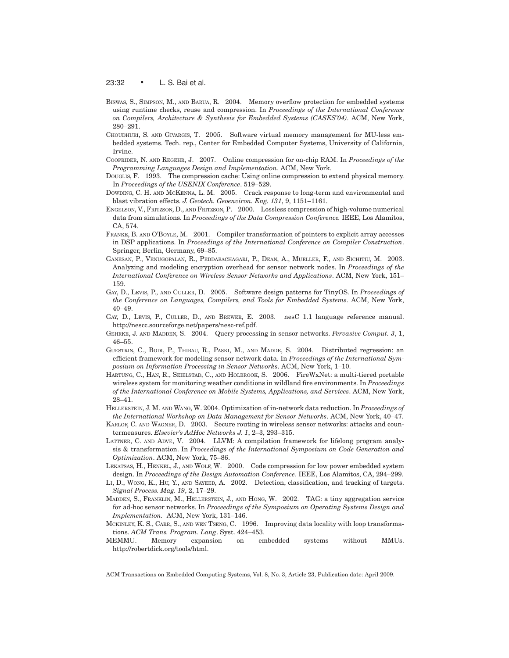#### 23:32 • L. S. Bai et al.

- BISWAS, S., SIMPSON, M., AND BARUA, R. 2004. Memory overflow protection for embedded systems using runtime checks, reuse and compression. In *Proceedings of the International Conference on Compilers, Architecture & Synthesis for Embedded Systems (CASES'04)*. ACM, New York, 280–291.
- CHOUDHURI, S. AND GIVARGIS, T. 2005. Software virtual memory management for MU-less embedded systems. Tech. rep., Center for Embedded Computer Systems, University of California, Irvine.
- COOPRIDER, N. AND REGEHR, J. 2007. Online compression for on-chip RAM. In *Proceedings of the Programming Languages Design and Implementation*. ACM, New York.
- DOUGLIS, F. 1993. The compression cache: Using online compression to extend physical memory. In *Proceedings of the USENIX Conference*. 519–529.
- DOWDING, C. H. AND MCKENNA, L. M. 2005. Crack response to long-term and environmental and blast vibration effects. *J. Geotech. Geoenviron. Eng. 131*, 9, 1151–1161.
- ENGELSON, V., FRITZSON, D., AND FRITZSON, P. 2000. Lossless compression of high-volume numerical data from simulations. In *Proceedings of the Data Compression Conference.* IEEE, Los Alamitos, CA, 574.
- FRANKE, B. AND O'BOYLE, M. 2001. Compiler transformation of pointers to explicit array accesses in DSP applications. In *Proceedings of the International Conference on Compiler Construction*. Springer, Berlin, Germany, 69–85.
- GANESAN, P., VENUGOPALAN, R., PEDDABACHAGARI, P., DEAN, A., MUELLER, F., AND SICHITIU, M. 2003. Analyzing and modeling encryption overhead for sensor network nodes. In *Proceedings of the International Conference on Wireless Sensor Networks and Applications*. ACM, New York, 151– 159.
- GAY, D., LEVIS, P., AND CULLER, D. 2005. Software design patterns for TinyOS. In *Proceedings of the Conference on Languages, Compilers, and Tools for Embedded Systems*. ACM, New York, 40–49.
- GAY, D., LEVIS, P., CULLER, D., AND BREWER, E. 2003. nesC 1.1 language reference manual. http://nescc.sourceforge.net/papers/nesc-ref.pdf.
- GEHRKE, J. AND MADDEN, S. 2004. Query processing in sensor networks. *Pervasive Comput. 3*, 1, 46–55.
- GUESTRIN, C., BODI, P., THIBAU, R., PASKI, M., AND MADDE, S. 2004. Distributed regression: an efficient framework for modeling sensor network data. In *Proceedings of the International Symposium on Information Processing in Sensor Networks*. ACM, New York, 1–10.
- HARTUNG, C., HAN, R., SEIELSTAD, C., AND HOLBROOK, S. 2006. FireWxNet: a multi-tiered portable wireless system for monitoring weather conditions in wildland fire environments. In *Proceedings of the International Conference on Mobile Systems, Applications, and Services*. ACM, New York, 28–41.
- HELLERSTEIN, J. M. AND WANG, W. 2004. Optimization of in-network data reduction. In *Proceedings of the International Workshop on Data Management for Sensor Networks*. ACM, New York, 40–47.
- KARLOF, C. AND WAGNER, D. 2003. Secure routing in wireless sensor networks: attacks and countermeasures. *Elsevier's AdHoc Networks J. 1*, 2–3, 293–315.
- LATTNER, C. AND ADVE, V. 2004. LLVM: A compilation framework for lifelong program analysis & transformation. In *Proceedings of the International Symposium on Code Generation and Optimization*. ACM, New York, 75–86.
- LEKATSAS, H., HENKEL, J., AND WOLF, W. 2000. Code compression for low power embedded system design. In *Proceedings of the Design Automation Conference*. IEEE, Los Alamitos, CA, 294–299.
- LI, D., WONG, K., HU, Y., AND SAYEED, A. 2002. Detection, classification, and tracking of targets. *Signal Process. Mag. 19*, 2, 17–29.
- MADDEN, S., FRANKLIN, M., HELLERSTEIN, J., AND HONG, W. 2002. TAG: a tiny aggregation service for ad-hoc sensor networks. In *Proceedings of the Symposium on Operating Systems Design and Implementation.* ACM, New York, 131–146.
- MCKINLEY, K. S., CARR, S., AND WEN TSENG, C. 1996. Improving data locality with loop transformations. *ACM Trans. Program. Lang*. Syst. 424–453.
- MEMMU. Memory expansion on embedded systems without MMUs. http://robertdick.org/tools/html.